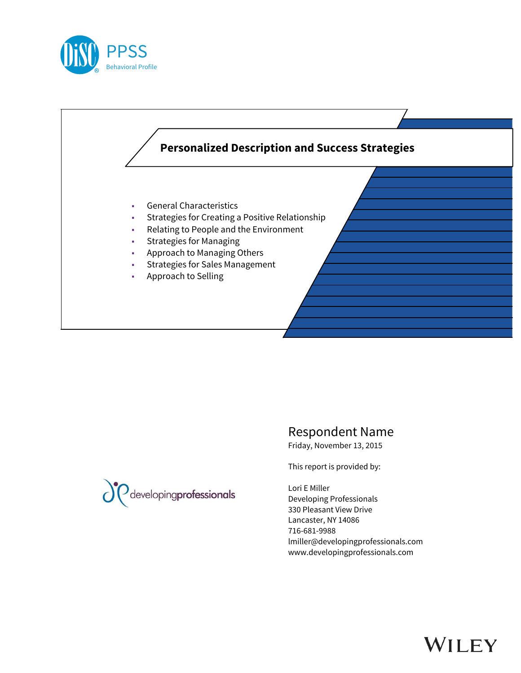



Respondent Name

Friday, November 13, 2015

This report is provided by:

Lori E Miller Developing Professionals 330 Pleasant View Drive Lancaster, NY 14086 716-681-9988 lmiller@developingprofessionals.com www.developingprofessionals.com



# WILEY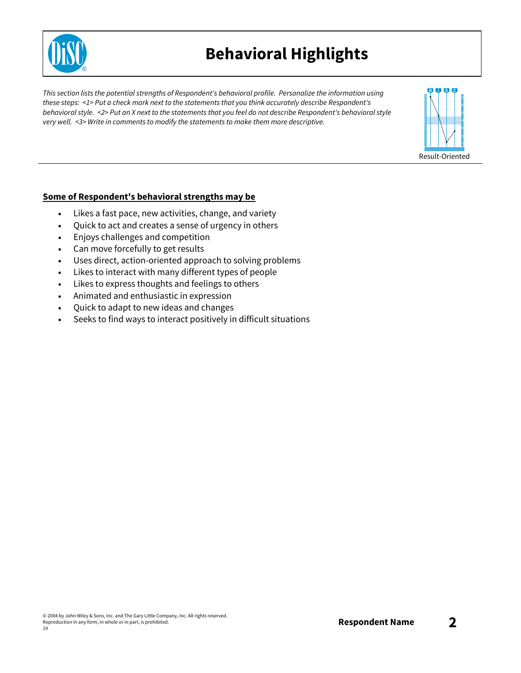

### **Behavioral Highlights**

*This section lists the potential strengths of Respondent's behavioral profile. Personalize the information using these steps: <1> Put a check mark next to the statements that you think accurately describe Respondent's* behavioral style. <2> Put an X next to the statements that you feel do not describe Respondent's behavioral style *very well. <3> Write in comments to modify the statements to make them more descriptive.*



#### **Some of Respondent's behavioral strengths may be**

- Likes a fast pace, new activities, change, and variety
- Quick to act and creates a sense of urgency in others
- Enjoys challenges and competition
- Can move forcefully to get results
- Uses direct, action-oriented approach to solving problems
- Likes to interact with many different types of people
- Likes to express thoughts and feelings to others
- Animated and enthusiastic in expression
- Quick to adapt to new ideas and changes
- Seeks to find ways to interact positively in difficult situations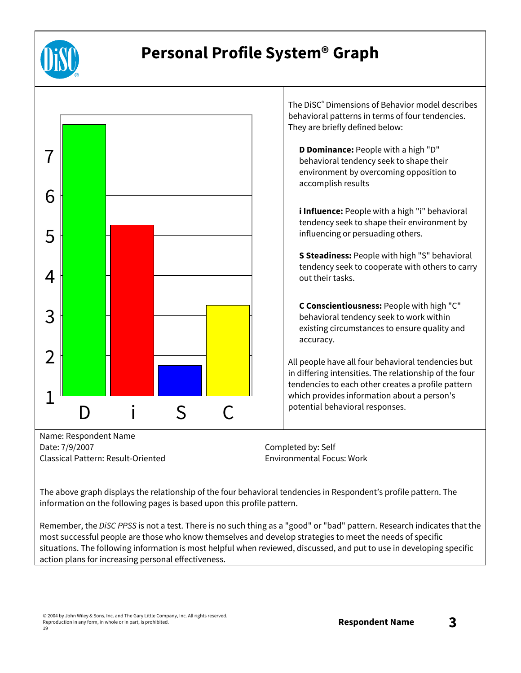

## **Personal Profile System® Graph**



The above graph displays the relationship of the four behavioral tendencies in Respondent's profile pattern. The information on the following pages is based upon this profile pattern.

Remember, the *DiSC PPSS* is not a test. There is no such thing as a "good" or "bad" pattern. Research indicates that the most successful people are those who know themselves and develop strategies to meet the needs of specific situations. The following information is most helpful when reviewed, discussed, and put to use in developing specific action plans for increasing personal effectiveness.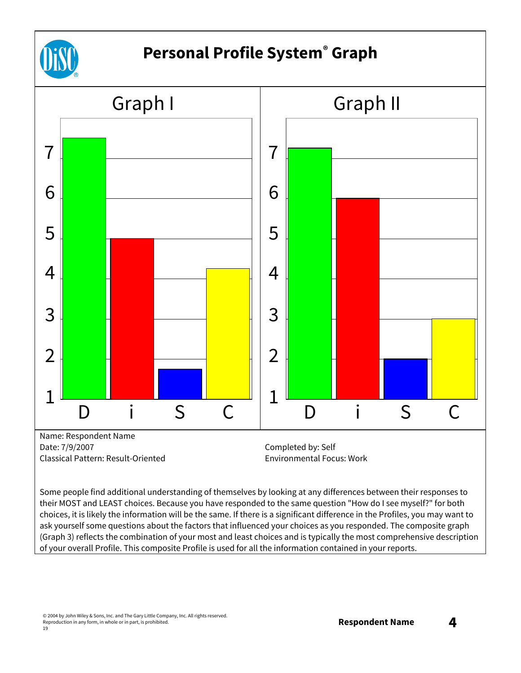

## **Personal Profile System® Graph**



Some people find additional understanding of themselves by looking at any differences between their responses to their MOST and LEAST choices. Because you have responded to the same question "How do I see myself?" for both choices, it is likely the information will be the same. If there is a significant difference in the Profiles, you may want to ask yourself some questions about the factors that influenced your choices as you responded. The composite graph (Graph 3) reflects the combination of your most and least choices and is typically the most comprehensive description of your overall Profile. This composite Profile is used for all the information contained in your reports.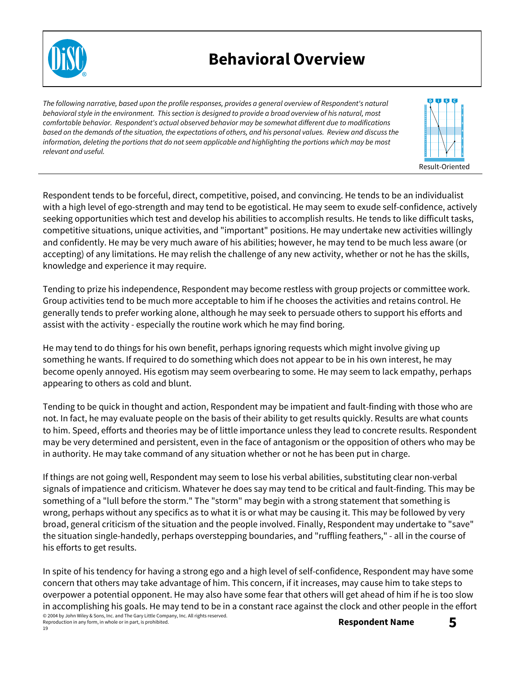

### **Behavioral Overview**

*The following narrative, based upon the profile responses, provides a general overview of Respondent's natural* behavioral style in the environment. This section is designed to provide a broad overview of his natural, most *comfortable behavior. Respondent's actual observed behavior may be somewhat different due to modifications* based on the demands of the situation, the expectations of others, and his personal values. Review and discuss the information, deleting the portions that do not seem applicable and highlighting the portions which may be most *relevant and useful.*



Respondent tends to be forceful, direct, competitive, poised, and convincing. He tends to be an individualist with a high level of ego-strength and may tend to be egotistical. He may seem to exude self-confidence, actively seeking opportunities which test and develop his abilities to accomplish results. He tends to like difficult tasks, competitive situations, unique activities, and "important" positions. He may undertake new activities willingly and confidently. He may be very much aware of his abilities; however, he may tend to be much less aware (or accepting) of any limitations. He may relish the challenge of any new activity, whether or not he has the skills, knowledge and experience it may require.

Tending to prize his independence, Respondent may become restless with group projects or committee work. Group activities tend to be much more acceptable to him if he chooses the activities and retains control. He generally tends to prefer working alone, although he may seek to persuade others to support his efforts and assist with the activity - especially the routine work which he may find boring.

He may tend to do things for his own benefit, perhaps ignoring requests which might involve giving up something he wants. If required to do something which does not appear to be in his own interest, he may become openly annoyed. His egotism may seem overbearing to some. He may seem to lack empathy, perhaps appearing to others as cold and blunt.

Tending to be quick in thought and action, Respondent may be impatient and fault-finding with those who are not. In fact, he may evaluate people on the basis of their ability to get results quickly. Results are what counts to him. Speed, efforts and theories may be of little importance unless they lead to concrete results. Respondent may be very determined and persistent, even in the face of antagonism or the opposition of others who may be in authority. He may take command of any situation whether or not he has been put in charge.

If things are not going well, Respondent may seem to lose his verbal abilities, substituting clear non-verbal signals of impatience and criticism. Whatever he does say may tend to be critical and fault-finding. This may be something of a "lull before the storm." The "storm" may begin with a strong statement that something is wrong, perhaps without any specifics as to what it is or what may be causing it. This may be followed by very broad, general criticism of the situation and the people involved. Finally, Respondent may undertake to "save" the situation single-handedly, perhaps overstepping boundaries, and "ruffling feathers," - all in the course of his efforts to get results.

© 2004 by John Wiley & Sons, Inc. and The Gary Little Company, Inc. All rights reserved. In spite of his tendency for having a strong ego and a high level of self-confidence, Respondent may have some concern that others may take advantage of him. This concern, if it increases, may cause him to take steps to overpower a potential opponent. He may also have some fear that others will get ahead of him if he is too slow in accomplishing his goals. He may tend to be in a constant race against the clock and other people in the effort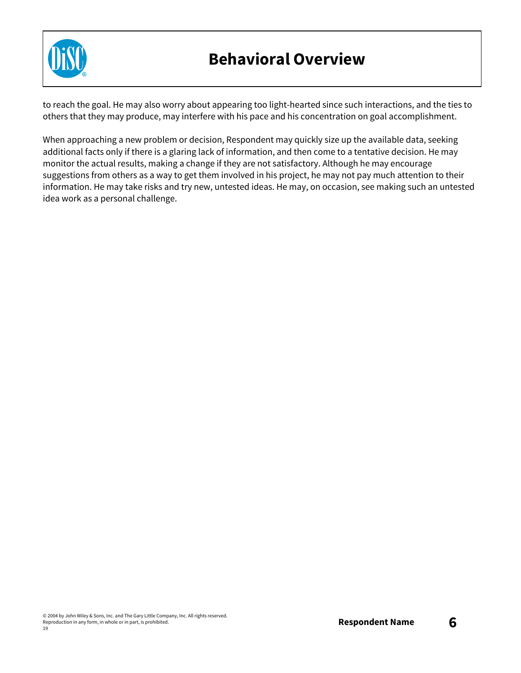

### **Behavioral Overview**

to reach the goal. He may also worry about appearing too light-hearted since such interactions, and the ties to others that they may produce, may interfere with his pace and his concentration on goal accomplishment.

When approaching a new problem or decision, Respondent may quickly size up the available data, seeking additional facts only if there is a glaring lack of information, and then come to a tentative decision. He may monitor the actual results, making a change if they are not satisfactory. Although he may encourage suggestions from others as a way to get them involved in his project, he may not pay much attention to their information. He may take risks and try new, untested ideas. He may, on occasion, see making such an untested idea work as a personal challenge.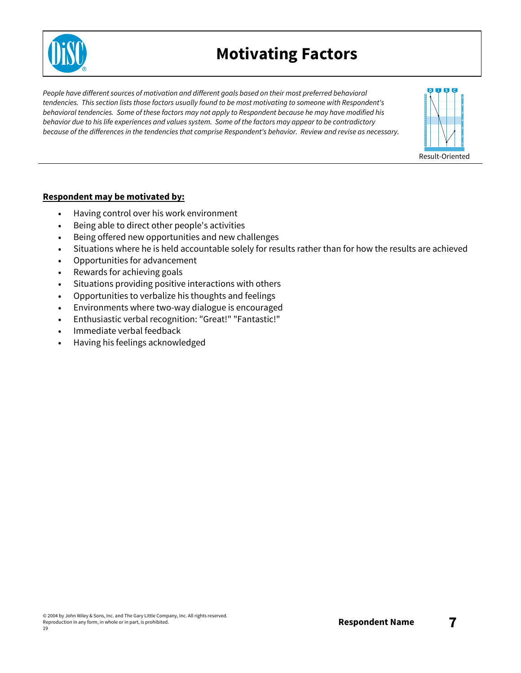

### **Motivating Factors**

*People have different sources of motivation and different goals based on their most preferred behavioral tendencies. This section lists those factors usually found to be most motivating to someone with Respondent's behavioral tendencies. Some of these factors may not apply to Respondent because he may have modified his* behavior due to his life experiences and values system. Some of the factors may appear to be contradictory *because of the differences in the tendencies that comprise Respondent's behavior. Review and revise as necessary.*



#### **Respondent may be motivated by:**

- Having control over his work environment
- Being able to direct other people's activities
- Being offered new opportunities and new challenges
- Situations where he is held accountable solely for results rather than for how the results are achieved
- Opportunities for advancement
- Rewards for achieving goals
- Situations providing positive interactions with others
- Opportunities to verbalize his thoughts and feelings
- Environments where two-way dialogue is encouraged
- Enthusiastic verbal recognition: "Great!" "Fantastic!"
- Immediate verbal feedback
- Having his feelings acknowledged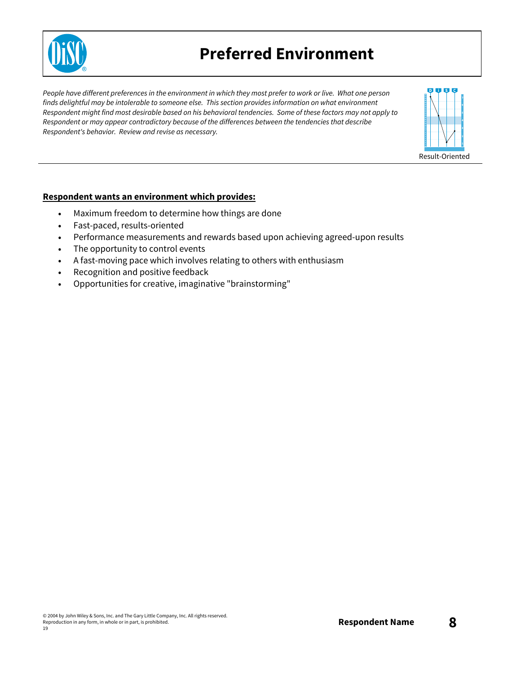

### **Preferred Environment**

People have different preferences in the environment in which they most prefer to work or live. What one person *finds delightful may be intolerable to someone else. This section provides information on what environment* Respondent might find most desirable based on his behavioral tendencies. Some of these factors may not apply to *Respondent or may appear contradictory because of the differences between the tendencies that describe Respondent's behavior. Review and revise as necessary.*



#### **Respondent wants an environment which provides:**

- Maximum freedom to determine how things are done
- Fast-paced, results-oriented
- Performance measurements and rewards based upon achieving agreed-upon results
- The opportunity to control events
- A fast-moving pace which involves relating to others with enthusiasm
- Recognition and positive feedback
- Opportunities for creative, imaginative "brainstorming"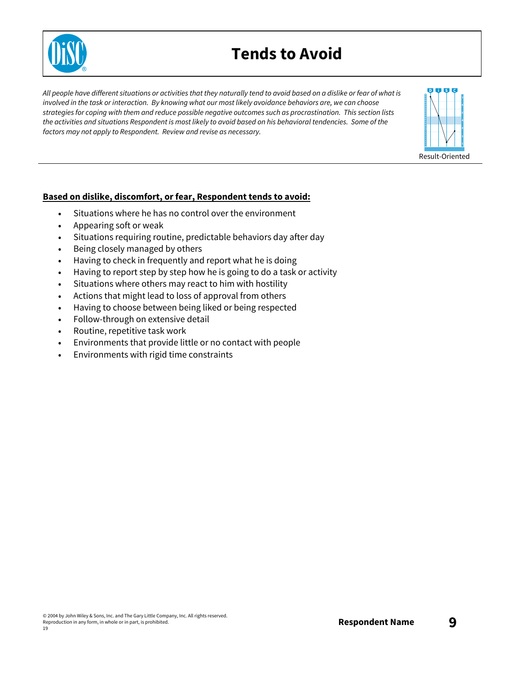

### **Tends to Avoid**

All people have different situations or activities that they naturally tend to avoid based on a dislike or fear of what is involved in the task or interaction. By knowing what our most likely avoidance behaviors are, we can choose *strategies for coping with them and reduce possible negative outcomes such as procrastination. This section lists* the activities and situations Respondent is most likely to avoid based on his behavioral tendencies. Some of the *factors may not apply to Respondent. Review and revise as necessary.*



#### **Based on dislike, discomfort, or fear, Respondent tends to avoid:**

- Situations where he has no control over the environment
- Appearing soft or weak
- Situations requiring routine, predictable behaviors day after day
- Being closely managed by others
- Having to check in frequently and report what he is doing
- Having to report step by step how he is going to do a task or activity
- Situations where others may react to him with hostility
- Actions that might lead to loss of approval from others
- Having to choose between being liked or being respected
- Follow-through on extensive detail
- Routine, repetitive task work
- Environments that provide little or no contact with people
- Environments with rigid time constraints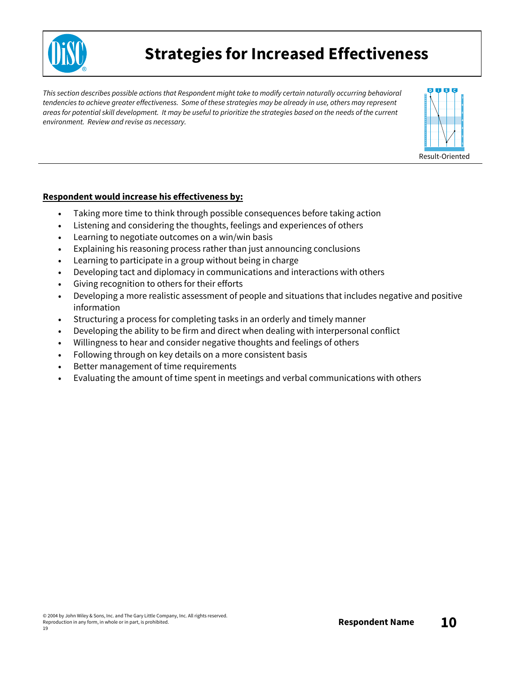

### **Strategies for Increased Effectiveness**

*This section describes possible actions that Respondent might take to modify certain naturally occurring behavioral* tendencies to achieve greater effectiveness. Some of these strategies may be already in use, others may represent areas for potential skill development. It may be useful to prioritize the strategies based on the needs of the current *environment. Review and revise as necessary.*



#### **Respondent would increase his effectiveness by:**

- Taking more time to think through possible consequences before taking action
- Listening and considering the thoughts, feelings and experiences of others
- Learning to negotiate outcomes on a win/win basis
- Explaining his reasoning process rather than just announcing conclusions
- Learning to participate in a group without being in charge
- Developing tact and diplomacy in communications and interactions with others
- Giving recognition to others for their efforts
- Developing a more realistic assessment of people and situations that includes negative and positive information
- Structuring a process for completing tasks in an orderly and timely manner
- Developing the ability to be firm and direct when dealing with interpersonal conflict
- Willingness to hear and consider negative thoughts and feelings of others
- Following through on key details on a more consistent basis
- Better management of time requirements
- Evaluating the amount of time spent in meetings and verbal communications with others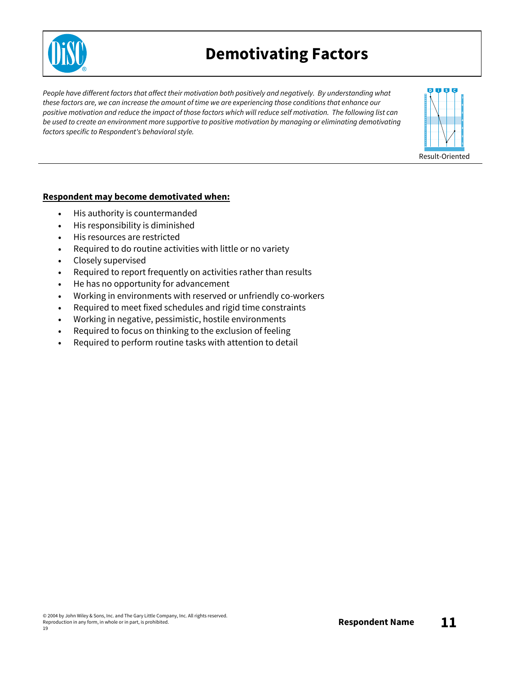

### **Demotivating Factors**

*People have different factors that affect their motivation both positively and negatively. By understanding what* these factors are, we can increase the amount of time we are experiencing those conditions that enhance our positive motivation and reduce the impact of those factors which will reduce self motivation. The following list can *be used to create an environment more supportive to positive motivation by managing or eliminating demotivating factors specific to Respondent's behavioral style.*



#### **Respondent may become demotivated when:**

- His authority is countermanded
- His responsibility is diminished
- His resources are restricted
- Required to do routine activities with little or no variety
- Closely supervised
- Required to report frequently on activities rather than results
- He has no opportunity for advancement
- Working in environments with reserved or unfriendly co-workers
- Required to meet fixed schedules and rigid time constraints
- Working in negative, pessimistic, hostile environments
- Required to focus on thinking to the exclusion of feeling
- Required to perform routine tasks with attention to detail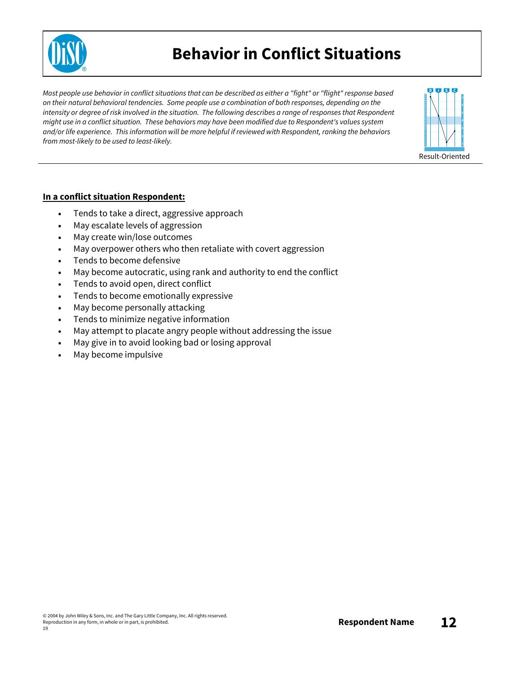

### **Behavior in Conflict Situations**

Most people use behavior in conflict situations that can be described as either a "fight" or "flight" response based *on their natural behavioral tendencies. Some people use a combination of both responses, depending on the* intensity or degree of risk involved in the situation. The following describes a range of responses that Respondent *might use in a conflict situation. These behaviors may have been modified due to Respondent's values system and/or life experience. This information will be more helpful if reviewed with Respondent, ranking the behaviors from most-likely to be used to least-likely.*



#### **In a conflict situation Respondent:**

- Tends to take a direct, aggressive approach
- May escalate levels of aggression
- May create win/lose outcomes
- May overpower others who then retaliate with covert aggression
- Tends to become defensive
- May become autocratic, using rank and authority to end the conflict
- Tends to avoid open, direct conflict
- Tends to become emotionally expressive
- May become personally attacking
- Tends to minimize negative information
- May attempt to placate angry people without addressing the issue
- May give in to avoid looking bad or losing approval
- May become impulsive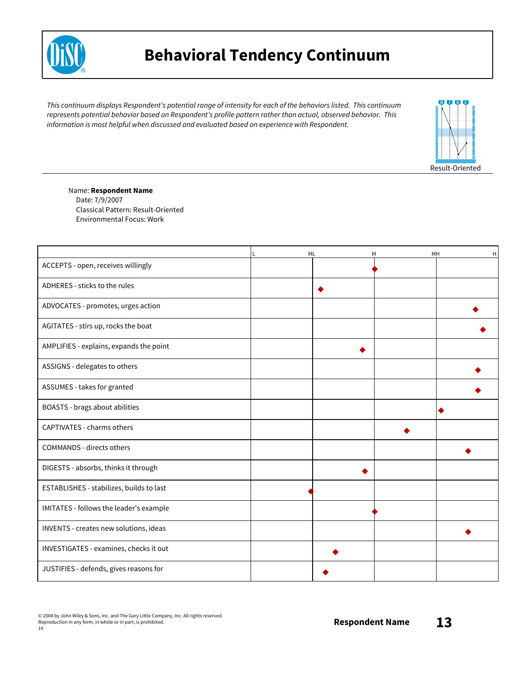

### **Behavioral Tendency Continuum**

*This continuum displays Respondent's potential range of intensity for each of the behaviors listed. This continuum represents potential behavior based on Respondent's profile pattern rather than actual, observed behavior. This information is most helpful when discussed and evaluated based on experience with Respondent.*



#### Name: **Respondent Name**

Date: 7/9/2007 Classical Pattern: Result-Oriented Environmental Focus: Work

|                                          | ML | M | $\mathsf H$<br>MН |
|------------------------------------------|----|---|-------------------|
| ACCEPTS - open, receives willingly       |    |   |                   |
| ADHERES - sticks to the rules            |    |   |                   |
| ADVOCATES - promotes, urges action       |    |   |                   |
| AGITATES - stirs up, rocks the boat      |    |   |                   |
| AMPLIFIES - explains, expands the point  |    |   |                   |
| ASSIGNS - delegates to others            |    |   |                   |
| ASSUMES - takes for granted              |    |   |                   |
| BOASTS - brags about abilities           |    |   | O                 |
| CAPTIVATES - charms others               |    |   |                   |
| <b>COMMANDS - directs others</b>         |    |   |                   |
| DIGESTS - absorbs, thinks it through     |    |   |                   |
| ESTABLISHES - stabilizes, builds to last |    |   |                   |
| IMITATES - follows the leader's example  |    |   |                   |
| INVENTS - creates new solutions, ideas   |    |   |                   |
| INVESTIGATES - examines, checks it out   |    |   |                   |
| JUSTIFIES - defends, gives reasons for   |    |   |                   |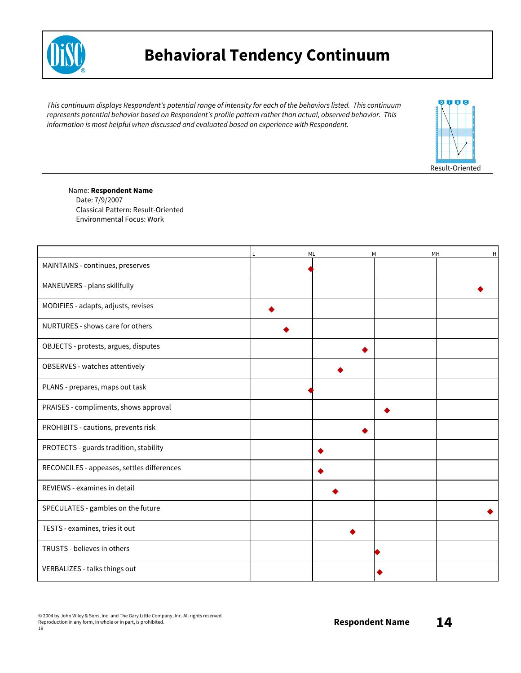

### **Behavioral Tendency Continuum**

*This continuum displays Respondent's potential range of intensity for each of the behaviors listed. This continuum represents potential behavior based on Respondent's profile pattern rather than actual, observed behavior. This information is most helpful when discussed and evaluated based on experience with Respondent.*



#### Name: **Respondent Name**

Date: 7/9/2007 Classical Pattern: Result-Oriented Environmental Focus: Work

|                                            | ML | M | MH<br>н |
|--------------------------------------------|----|---|---------|
| MAINTAINS - continues, preserves           |    |   |         |
| MANEUVERS - plans skillfully               |    |   |         |
| MODIFIES - adapts, adjusts, revises        |    |   |         |
| NURTURES - shows care for others           |    |   |         |
| OBJECTS - protests, argues, disputes       |    |   |         |
| OBSERVES - watches attentively             |    |   |         |
| PLANS - prepares, maps out task            |    |   |         |
| PRAISES - compliments, shows approval      |    |   |         |
| PROHIBITS - cautions, prevents risk        |    |   |         |
| PROTECTS - guards tradition, stability     |    |   |         |
| RECONCILES - appeases, settles differences |    |   |         |
| REVIEWS - examines in detail               |    |   |         |
| SPECULATES - gambles on the future         |    |   |         |
| TESTS - examines, tries it out             |    |   |         |
| TRUSTS - believes in others                |    |   |         |
| VERBALIZES - talks things out              |    |   |         |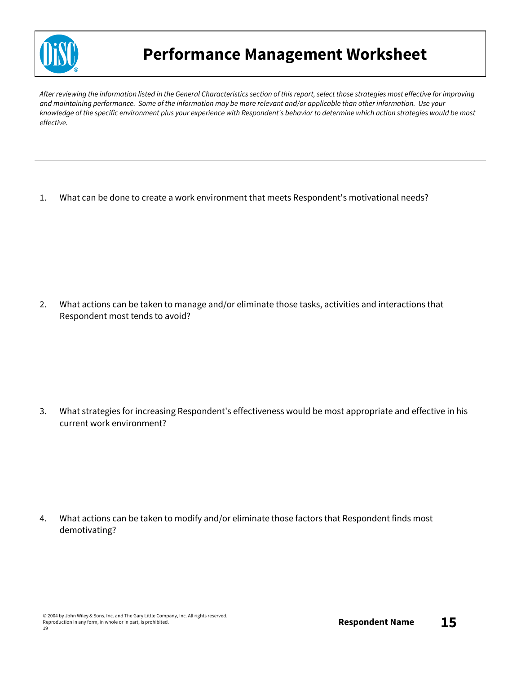

### **Performance Management Worksheet**

After reviewing the information listed in the General Characteristics section of this report, select those strategies most effective for improving and maintaining performance. Some of the information may be more relevant and/or applicable than other information. Use your knowledge of the specific environment plus your experience with Respondent's behavior to determine which action strategies would be most *effective.*

1. What can be done to create a work environment that meets Respondent's motivational needs?

2. What actions can be taken to manage and/or eliminate those tasks, activities and interactions that Respondent most tends to avoid?

3. What strategies for increasing Respondent's effectiveness would be most appropriate and effective in his current work environment?

4. What actions can be taken to modify and/or eliminate those factors that Respondent finds most demotivating?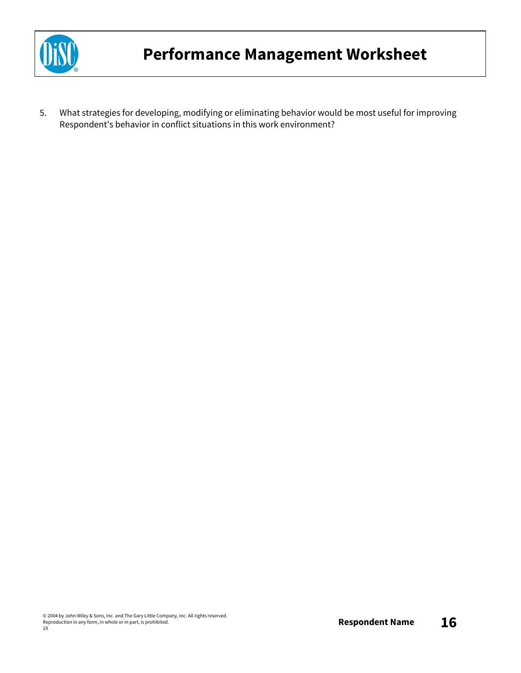

5. What strategies for developing, modifying or eliminating behavior would be most useful for improving Respondent's behavior in conflict situations in this work environment?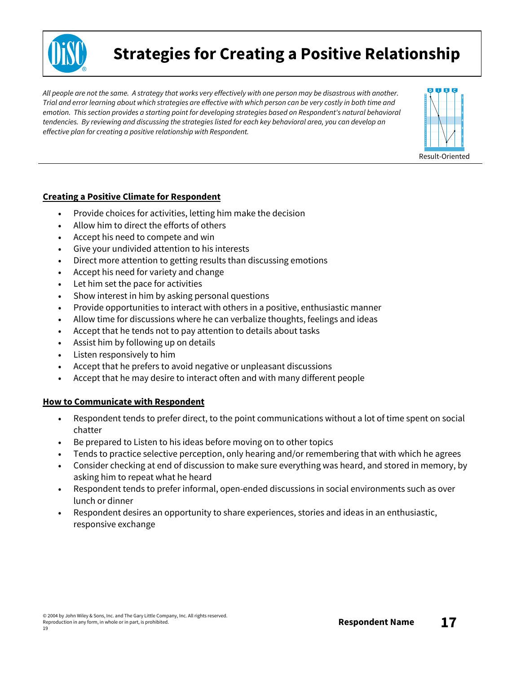

### **Strategies for Creating a Positive Relationship**

All people are not the same. A strategy that works very effectively with one person may be disastrous with another. Trial and error learning about which strategies are effective with which person can be very costly in both time and *emotion. This section provides a starting point for developing strategies based on Respondent's natural behavioral tendencies. By reviewing and discussing the strategies listed for each key behavioral area, you can develop an effective plan for creating a positive relationship with Respondent.*



#### **Creating a Positive Climate for Respondent**

- Provide choices for activities, letting him make the decision
- Allow him to direct the efforts of others
- Accept his need to compete and win
- Give your undivided attention to his interests
- Direct more attention to getting results than discussing emotions
- Accept his need for variety and change
- Let him set the pace for activities
- Show interest in him by asking personal questions
- Provide opportunities to interact with others in a positive, enthusiastic manner
- Allow time for discussions where he can verbalize thoughts, feelings and ideas
- Accept that he tends not to pay attention to details about tasks
- Assist him by following up on details
- Listen responsively to him
- Accept that he prefers to avoid negative or unpleasant discussions
- Accept that he may desire to interact often and with many different people

#### **How to Communicate with Respondent**

- Respondent tends to prefer direct, to the point communications without a lot of time spent on social chatter
- Be prepared to Listen to his ideas before moving on to other topics
- Tends to practice selective perception, only hearing and/or remembering that with which he agrees
- Consider checking at end of discussion to make sure everything was heard, and stored in memory, by asking him to repeat what he heard
- Respondent tends to prefer informal, open-ended discussions in social environments such as over lunch or dinner
- Respondent desires an opportunity to share experiences, stories and ideas in an enthusiastic, responsive exchange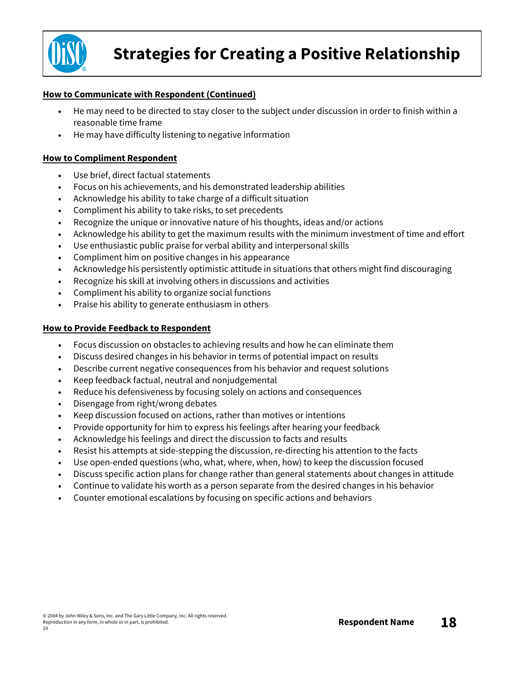

#### **How to Communicate with Respondent (Continued)**

- He may need to be directed to stay closer to the subject under discussion in order to finish within a reasonable time frame
- He may have difficulty listening to negative information

#### **How to Compliment Respondent**

- Use brief, direct factual statements
- Focus on his achievements, and his demonstrated leadership abilities
- Acknowledge his ability to take charge of a difficult situation
- Compliment his ability to take risks, to set precedents
- Recognize the unique or innovative nature of his thoughts, ideas and/or actions
- Acknowledge his ability to get the maximum results with the minimum investment of time and effort
- Use enthusiastic public praise for verbal ability and interpersonal skills
- Compliment him on positive changes in his appearance
- Acknowledge his persistently optimistic attitude in situations that others might find discouraging
- Recognize his skill at involving others in discussions and activities
- Compliment his ability to organize social functions
- Praise his ability to generate enthusiasm in others

#### **How to Provide Feedback to Respondent**

- Focus discussion on obstacles to achieving results and how he can eliminate them
- Discuss desired changes in his behavior in terms of potential impact on results
- Describe current negative consequences from his behavior and request solutions
- Keep feedback factual, neutral and nonjudgemental
- Reduce his defensiveness by focusing solely on actions and consequences
- Disengage from right/wrong debates
- Keep discussion focused on actions, rather than motives or intentions
- Provide opportunity for him to express his feelings after hearing your feedback
- Acknowledge his feelings and direct the discussion to facts and results
- Resist his attempts at side-stepping the discussion, re-directing his attention to the facts
- Use open-ended questions (who, what, where, when, how) to keep the discussion focused
- Discuss specific action plans for change rather than general statements about changes in attitude
- Continue to validate his worth as a person separate from the desired changes in his behavior
- Counter emotional escalations by focusing on specific actions and behaviors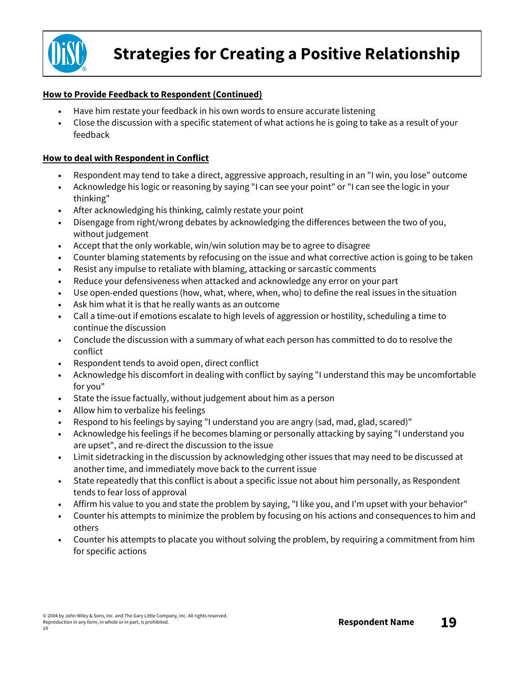

#### **How to Provide Feedback to Respondent (Continued)**

- Have him restate your feedback in his own words to ensure accurate listening
- Close the discussion with a specific statement of what actions he is going to take as a result of your feedback

#### **How to deal with Respondent in Conflict**

- Respondent may tend to take a direct, aggressive approach, resulting in an "I win, you lose" outcome
- Acknowledge his logic or reasoning by saying "I can see your point" or "I can see the logic in your thinking"
- After acknowledging his thinking, calmly restate your point
- Disengage from right/wrong debates by acknowledging the differences between the two of you, without judgement
- Accept that the only workable, win/win solution may be to agree to disagree
- Counter blaming statements by refocusing on the issue and what corrective action is going to be taken
- Resist any impulse to retaliate with blaming, attacking or sarcastic comments
- Reduce your defensiveness when attacked and acknowledge any error on your part
- Use open-ended questions (how, what, where, when, who) to define the real issues in the situation
- Ask him what it is that he really wants as an outcome
- Call a time-out if emotions escalate to high levels of aggression or hostility, scheduling a time to continue the discussion
- Conclude the discussion with a summary of what each person has committed to do to resolve the conflict
- Respondent tends to avoid open, direct conflict
- Acknowledge his discomfort in dealing with conflict by saying "I understand this may be uncomfortable for you"
- State the issue factually, without judgement about him as a person
- Allow him to verbalize his feelings
- Respond to his feelings by saying "I understand you are angry (sad, mad, glad, scared)"
- Acknowledge his feelings if he becomes blaming or personally attacking by saying "I understand you are upset", and re-direct the discussion to the issue
- Limit sidetracking in the discussion by acknowledging other issues that may need to be discussed at another time, and immediately move back to the current issue
- State repeatedly that this conflict is about a specific issue not about him personally, as Respondent tends to fear loss of approval
- Affirm his value to you and state the problem by saying, "I like you, and I'm upset with your behavior"
- Counter his attempts to minimize the problem by focusing on his actions and consequences to him and others
- Counter his attempts to placate you without solving the problem, by requiring a commitment from him for specific actions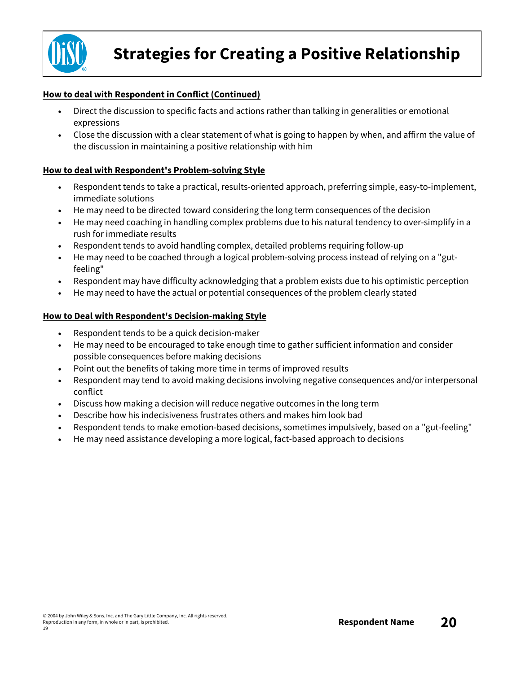

#### **How to deal with Respondent in Conflict (Continued)**

- Direct the discussion to specific facts and actions rather than talking in generalities or emotional expressions
- Close the discussion with a clear statement of what is going to happen by when, and affirm the value of the discussion in maintaining a positive relationship with him

#### **How to deal with Respondent's Problem-solving Style**

- Respondent tends to take a practical, results-oriented approach, preferring simple, easy-to-implement, immediate solutions
- He may need to be directed toward considering the long term consequences of the decision
- He may need coaching in handling complex problems due to his natural tendency to over-simplify in a rush for immediate results
- Respondent tends to avoid handling complex, detailed problems requiring follow-up
- He may need to be coached through a logical problem-solving process instead of relying on a "gutfeeling"
- Respondent may have difficulty acknowledging that a problem exists due to his optimistic perception
- He may need to have the actual or potential consequences of the problem clearly stated

#### **How to Deal with Respondent's Decision-making Style**

- Respondent tends to be a quick decision-maker
- He may need to be encouraged to take enough time to gather sufficient information and consider possible consequences before making decisions
- Point out the benefits of taking more time in terms of improved results
- Respondent may tend to avoid making decisions involving negative consequences and/or interpersonal conflict
- Discuss how making a decision will reduce negative outcomes in the long term
- Describe how his indecisiveness frustrates others and makes him look bad
- Respondent tends to make emotion-based decisions, sometimes impulsively, based on a "gut-feeling"
- He may need assistance developing a more logical, fact-based approach to decisions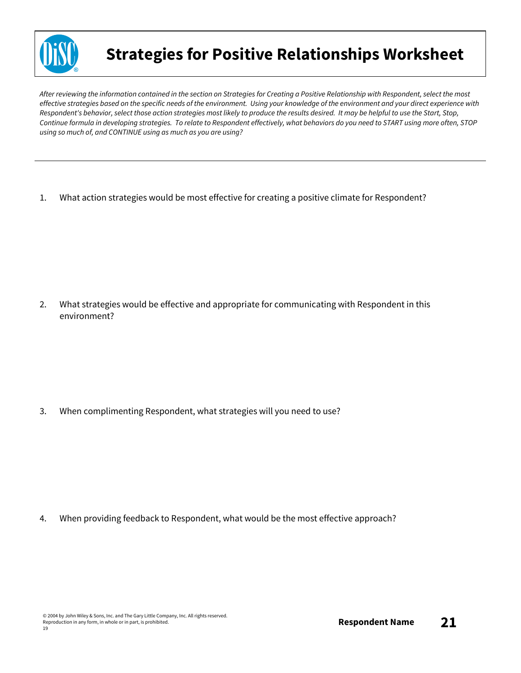

### **Strategies for Positive Relationships Worksheet**

After reviewing the information contained in the section on Strategies for Creating a Positive Relationship with Respondent, select the most effective strategies based on the specific needs of the environment. Using your knowledge of the environment and your direct experience with Respondent's behavior, select those action strategies most likely to produce the results desired. It may be helpful to use the Start, Stop, Continue formula in developing strategies. To relate to Respondent effectively, what behaviors do you need to START using more often, STOP *using so much of, and CONTINUE using as much as you are using?*

1. What action strategies would be most effective for creating a positive climate for Respondent?

2. What strategies would be effective and appropriate for communicating with Respondent in this environment?

3. When complimenting Respondent, what strategies will you need to use?

4. When providing feedback to Respondent, what would be the most effective approach?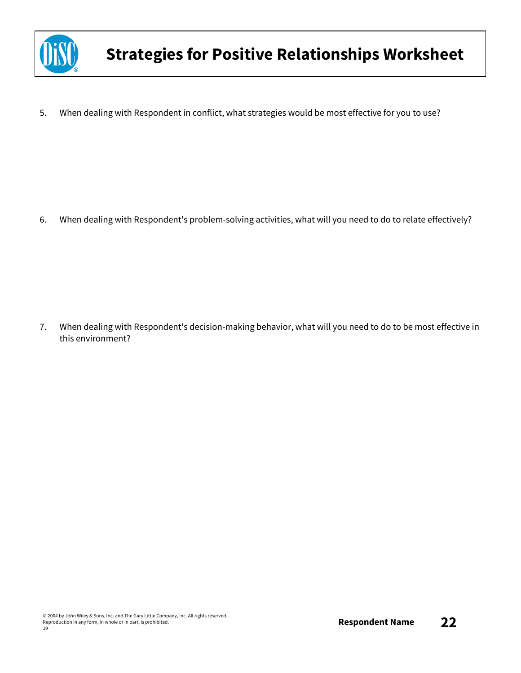

5. When dealing with Respondent in conflict, what strategies would be most effective for you to use?

6. When dealing with Respondent's problem-solving activities, what will you need to do to relate effectively?

7. When dealing with Respondent's decision-making behavior, what will you need to do to be most effective in this environment?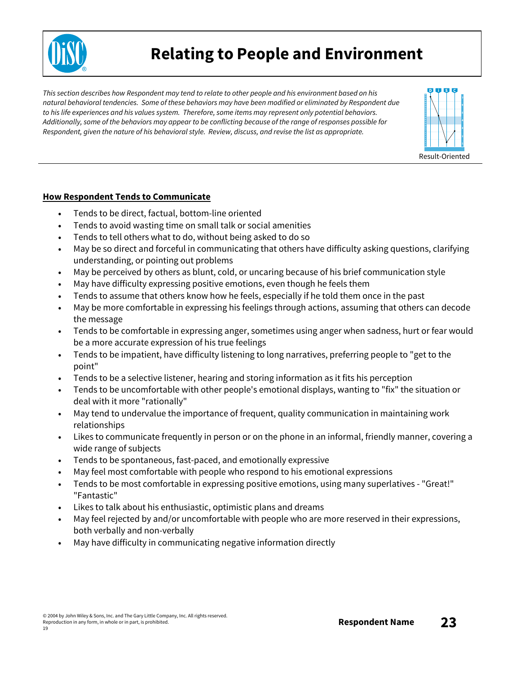

### **Relating to People and Environment**

This section describes how Respondent may tend to relate to other people and his environment based on his *natural behavioral tendencies. Some of these behaviors may have been modified or eliminated by Respondent due to his life experiences and his values system. Therefore, some items may represent only potential behaviors.*  Additionally, some of the behaviors may appear to be conflicting because of the range of responses possible for *Respondent, given the nature of his behavioral style. Review, discuss, and revise the list as appropriate.*



#### **How Respondent Tends to Communicate**

- Tends to be direct, factual, bottom-line oriented
- Tends to avoid wasting time on small talk or social amenities
- Tends to tell others what to do, without being asked to do so
- May be so direct and forceful in communicating that others have difficulty asking questions, clarifying understanding, or pointing out problems
- May be perceived by others as blunt, cold, or uncaring because of his brief communication style
- May have difficulty expressing positive emotions, even though he feels them
- Tends to assume that others know how he feels, especially if he told them once in the past
- May be more comfortable in expressing his feelings through actions, assuming that others can decode the message
- Tends to be comfortable in expressing anger, sometimes using anger when sadness, hurt or fear would be a more accurate expression of his true feelings
- Tends to be impatient, have difficulty listening to long narratives, preferring people to "get to the point"
- Tends to be a selective listener, hearing and storing information as it fits his perception
- Tends to be uncomfortable with other people's emotional displays, wanting to "fix" the situation or deal with it more "rationally"
- May tend to undervalue the importance of frequent, quality communication in maintaining work relationships
- Likes to communicate frequently in person or on the phone in an informal, friendly manner, covering a wide range of subjects
- Tends to be spontaneous, fast-paced, and emotionally expressive
- May feel most comfortable with people who respond to his emotional expressions
- Tends to be most comfortable in expressing positive emotions, using many superlatives "Great!" "Fantastic"
- Likes to talk about his enthusiastic, optimistic plans and dreams
- May feel rejected by and/or uncomfortable with people who are more reserved in their expressions, both verbally and non-verbally
- May have difficulty in communicating negative information directly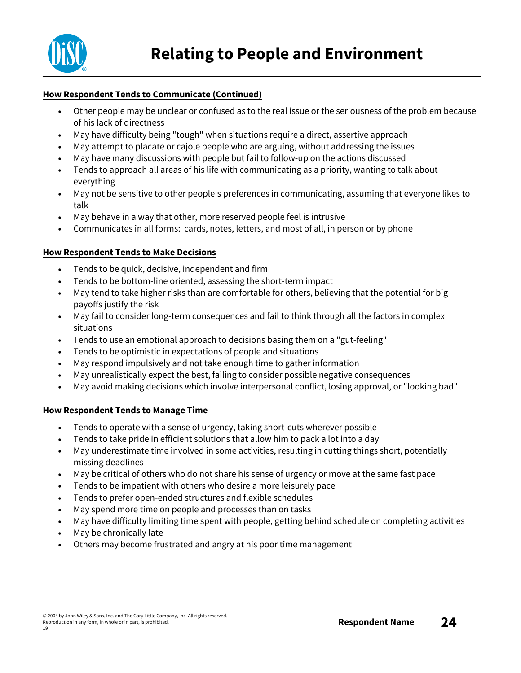

#### **How Respondent Tends to Communicate (Continued)**

- Other people may be unclear or confused as to the real issue or the seriousness of the problem because of his lack of directness
- May have difficulty being "tough" when situations require a direct, assertive approach
- May attempt to placate or cajole people who are arguing, without addressing the issues
- May have many discussions with people but fail to follow-up on the actions discussed
- Tends to approach all areas of his life with communicating as a priority, wanting to talk about everything
- May not be sensitive to other people's preferences in communicating, assuming that everyone likes to talk
- May behave in a way that other, more reserved people feel is intrusive
- Communicates in all forms: cards, notes, letters, and most of all, in person or by phone

#### **How Respondent Tends to Make Decisions**

- Tends to be quick, decisive, independent and firm
- Tends to be bottom-line oriented, assessing the short-term impact
- May tend to take higher risks than are comfortable for others, believing that the potential for big payoffs justify the risk
- May fail to consider long-term consequences and fail to think through all the factors in complex situations
- Tends to use an emotional approach to decisions basing them on a "gut-feeling"
- Tends to be optimistic in expectations of people and situations
- May respond impulsively and not take enough time to gather information
- May unrealistically expect the best, failing to consider possible negative consequences
- May avoid making decisions which involve interpersonal conflict, losing approval, or "looking bad"

#### **How Respondent Tends to Manage Time**

- Tends to operate with a sense of urgency, taking short-cuts wherever possible
- Tends to take pride in efficient solutions that allow him to pack a lot into a day
- May underestimate time involved in some activities, resulting in cutting things short, potentially missing deadlines
- May be critical of others who do not share his sense of urgency or move at the same fast pace
- Tends to be impatient with others who desire a more leisurely pace
- Tends to prefer open-ended structures and flexible schedules
- May spend more time on people and processes than on tasks
- May have difficulty limiting time spent with people, getting behind schedule on completing activities
- May be chronically late
- Others may become frustrated and angry at his poor time management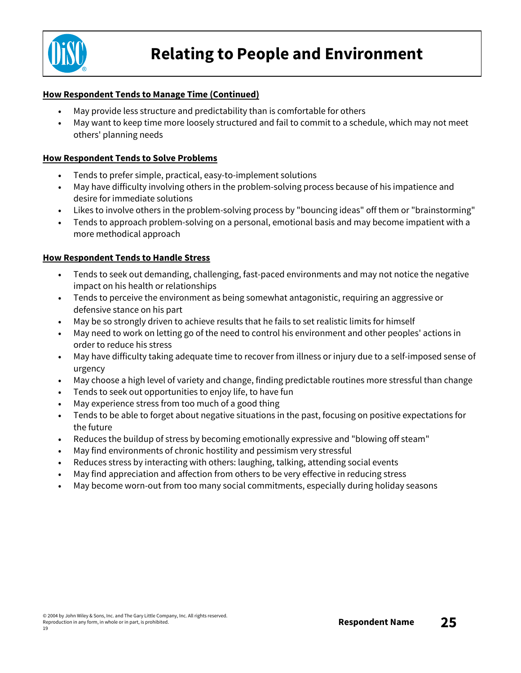

### **Relating to People and Environment**

#### **How Respondent Tends to Manage Time (Continued)**

- May provide less structure and predictability than is comfortable for others
- May want to keep time more loosely structured and fail to commit to a schedule, which may not meet others' planning needs

#### **How Respondent Tends to Solve Problems**

- Tends to prefer simple, practical, easy-to-implement solutions
- May have difficulty involving others in the problem-solving process because of his impatience and desire for immediate solutions
- Likes to involve others in the problem-solving process by "bouncing ideas" off them or "brainstorming"
- Tends to approach problem-solving on a personal, emotional basis and may become impatient with a more methodical approach

#### **How Respondent Tends to Handle Stress**

- Tends to seek out demanding, challenging, fast-paced environments and may not notice the negative impact on his health or relationships
- Tends to perceive the environment as being somewhat antagonistic, requiring an aggressive or defensive stance on his part
- May be so strongly driven to achieve results that he fails to set realistic limits for himself
- May need to work on letting go of the need to control his environment and other peoples' actions in order to reduce his stress
- May have difficulty taking adequate time to recover from illness or injury due to a self-imposed sense of urgency
- May choose a high level of variety and change, finding predictable routines more stressful than change
- Tends to seek out opportunities to enjoy life, to have fun
- May experience stress from too much of a good thing
- Tends to be able to forget about negative situations in the past, focusing on positive expectations for the future
- Reduces the buildup of stress by becoming emotionally expressive and "blowing off steam"
- May find environments of chronic hostility and pessimism very stressful
- Reduces stress by interacting with others: laughing, talking, attending social events
- May find appreciation and affection from others to be very effective in reducing stress
- May become worn-out from too many social commitments, especially during holiday seasons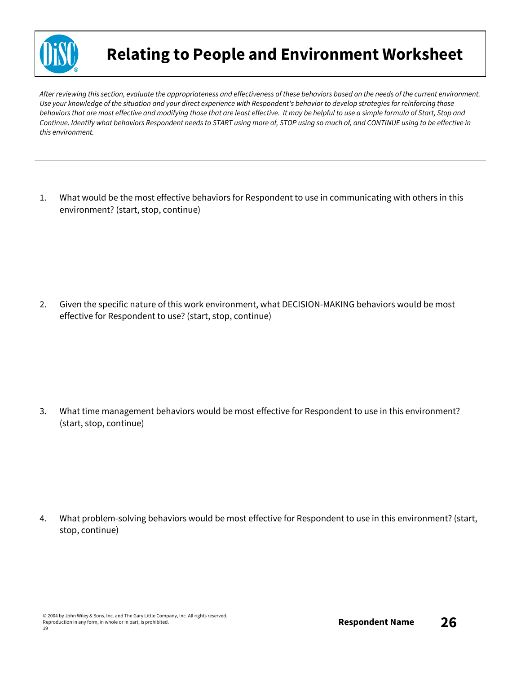

### **Relating to People and Environment Worksheet**

After reviewing this section, evaluate the appropriateness and effectiveness of these behaviors based on the needs of the current environment. Use your knowledge of the situation and your direct experience with Respondent's behavior to develop strategies for reinforcing those behaviors that are most effective and modifying those that are least effective. It may be helpful to use a simple formula of Start, Stop and Continue. Identify what behaviors Respondent needs to START using more of, STOP using so much of, and CONTINUE using to be effective in *this environment.*

1. What would be the most effective behaviors for Respondent to use in communicating with others in this environment? (start, stop, continue)

2. Given the specific nature of this work environment, what DECISION-MAKING behaviors would be most effective for Respondent to use? (start, stop, continue)

3. What time management behaviors would be most effective for Respondent to use in this environment? (start, stop, continue)

4. What problem-solving behaviors would be most effective for Respondent to use in this environment? (start, stop, continue)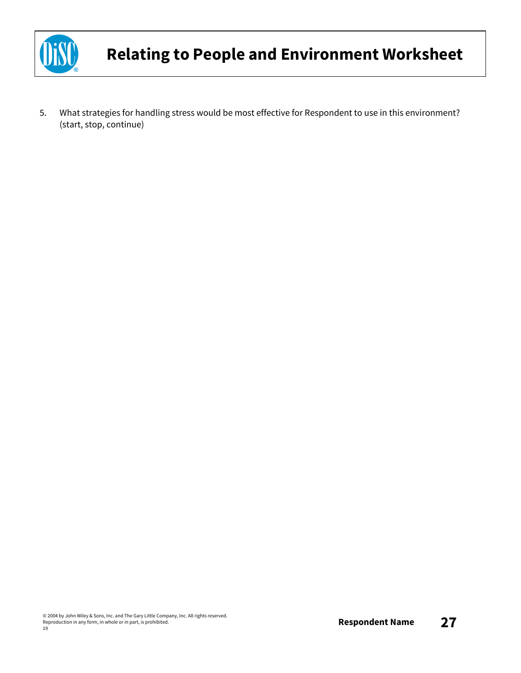

5. What strategies for handling stress would be most effective for Respondent to use in this environment? (start, stop, continue)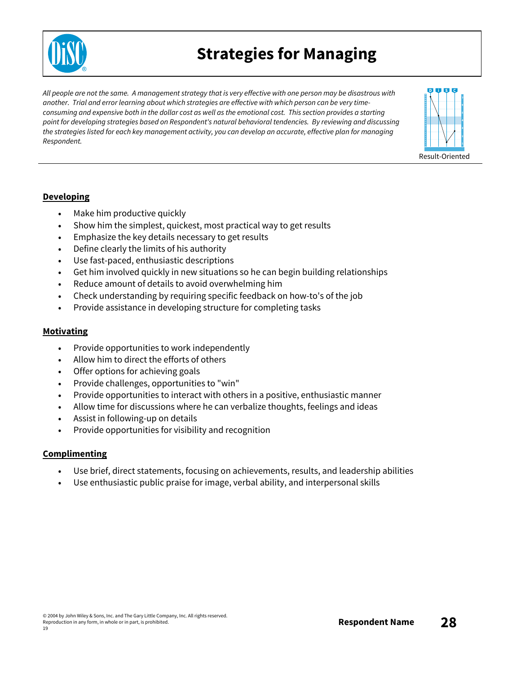

### **Strategies for Managing**

All people are not the same. A management strategy that is very effective with one person may be disastrous with *another. Trial and error learning about which strategies are effective with which person can be very time*consuming and expensive both in the dollar cost as well as the emotional cost. This section provides a starting *point for developing strategies based on Respondent's natural behavioral tendencies. By reviewing and discussing* the strategies listed for each key management activity, you can develop an accurate, effective plan for managing *Respondent.*



#### **Developing**

- Make him productive quickly
- Show him the simplest, quickest, most practical way to get results
- Emphasize the key details necessary to get results
- Define clearly the limits of his authority
- Use fast-paced, enthusiastic descriptions
- Get him involved quickly in new situations so he can begin building relationships
- Reduce amount of details to avoid overwhelming him
- Check understanding by requiring specific feedback on how-to's of the job
- Provide assistance in developing structure for completing tasks

#### **Motivating**

- Provide opportunities to work independently
- Allow him to direct the efforts of others
- Offer options for achieving goals
- Provide challenges, opportunities to "win"
- Provide opportunities to interact with others in a positive, enthusiastic manner
- Allow time for discussions where he can verbalize thoughts, feelings and ideas
- Assist in following-up on details
- Provide opportunities for visibility and recognition

#### **Complimenting**

- Use brief, direct statements, focusing on achievements, results, and leadership abilities
- Use enthusiastic public praise for image, verbal ability, and interpersonal skills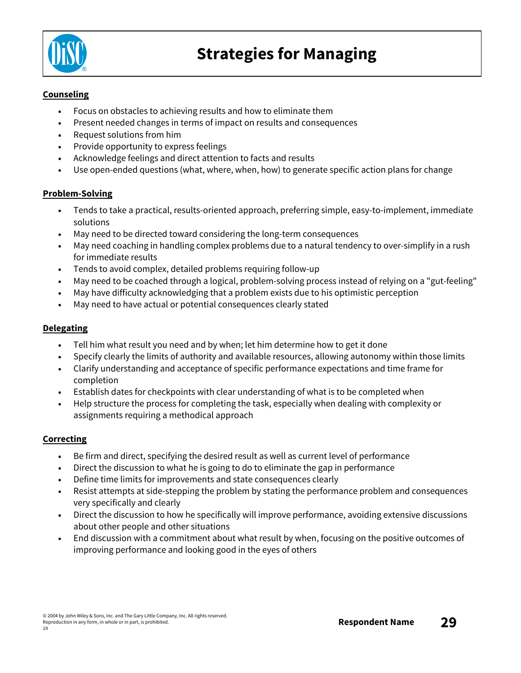

#### **Counseling**

- Focus on obstacles to achieving results and how to eliminate them
- Present needed changes in terms of impact on results and consequences
- Request solutions from him
- Provide opportunity to express feelings
- Acknowledge feelings and direct attention to facts and results
- Use open-ended questions (what, where, when, how) to generate specific action plans for change

#### **Problem-Solving**

- Tends to take a practical, results-oriented approach, preferring simple, easy-to-implement, immediate solutions
- May need to be directed toward considering the long-term consequences
- May need coaching in handling complex problems due to a natural tendency to over-simplify in a rush for immediate results
- Tends to avoid complex, detailed problems requiring follow-up
- May need to be coached through a logical, problem-solving process instead of relying on a "gut-feeling"
- May have difficulty acknowledging that a problem exists due to his optimistic perception
- May need to have actual or potential consequences clearly stated

#### **Delegating**

- Tell him what result you need and by when; let him determine how to get it done
- Specify clearly the limits of authority and available resources, allowing autonomy within those limits
- Clarify understanding and acceptance of specific performance expectations and time frame for completion
- Establish dates for checkpoints with clear understanding of what is to be completed when
- Help structure the process for completing the task, especially when dealing with complexity or assignments requiring a methodical approach

#### **Correcting**

- Be firm and direct, specifying the desired result as well as current level of performance
- Direct the discussion to what he is going to do to eliminate the gap in performance
- Define time limits for improvements and state consequences clearly
- Resist attempts at side-stepping the problem by stating the performance problem and consequences very specifically and clearly
- Direct the discussion to how he specifically will improve performance, avoiding extensive discussions about other people and other situations
- End discussion with a commitment about what result by when, focusing on the positive outcomes of improving performance and looking good in the eyes of others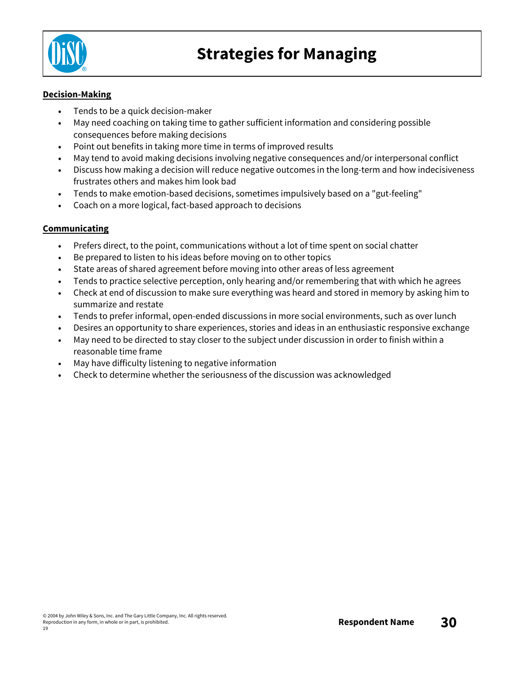

#### **Decision-Making**

- Tends to be a quick decision-maker
- May need coaching on taking time to gather sufficient information and considering possible consequences before making decisions
- Point out benefits in taking more time in terms of improved results
- May tend to avoid making decisions involving negative consequences and/or interpersonal conflict
- Discuss how making a decision will reduce negative outcomes in the long-term and how indecisiveness frustrates others and makes him look bad
- Tends to make emotion-based decisions, sometimes impulsively based on a "gut-feeling"
- Coach on a more logical, fact-based approach to decisions

#### **Communicating**

- Prefers direct, to the point, communications without a lot of time spent on social chatter
- Be prepared to listen to his ideas before moving on to other topics
- State areas of shared agreement before moving into other areas of less agreement
- Tends to practice selective perception, only hearing and/or remembering that with which he agrees
- Check at end of discussion to make sure everything was heard and stored in memory by asking him to summarize and restate
- Tends to prefer informal, open-ended discussions in more social environments, such as over lunch
- Desires an opportunity to share experiences, stories and ideas in an enthusiastic responsive exchange
- May need to be directed to stay closer to the subject under discussion in order to finish within a reasonable time frame
- May have difficulty listening to negative information
- Check to determine whether the seriousness of the discussion was acknowledged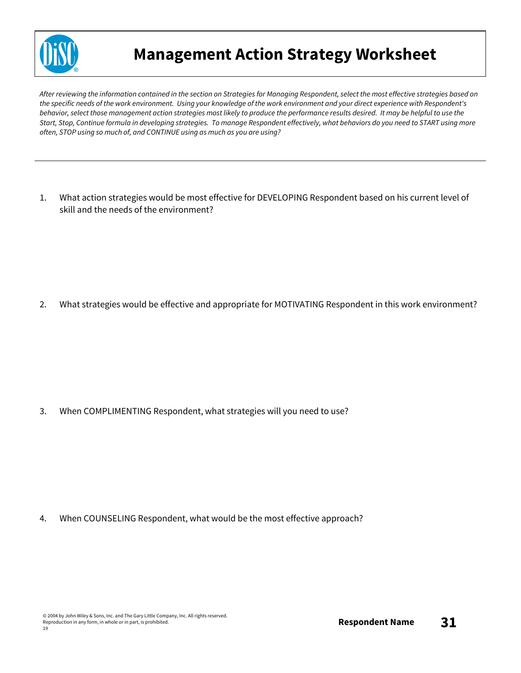

### **Management Action Strategy Worksheet**

After reviewing the information contained in the section on Strategies for Managing Respondent, select the most effective strategies based on the specific needs of the work environment. Using your knowledge of the work environment and your direct experience with Respondent's behavior, select those management action strategies most likely to produce the performance results desired. It may be helpful to use the Start, Stop, Continue formula in developing strategies. To manage Respondent effectively, what behaviors do you need to START using more *often, STOP using so much of, and CONTINUE using as much as you are using?*

1. What action strategies would be most effective for DEVELOPING Respondent based on his current level of skill and the needs of the environment?

2. What strategies would be effective and appropriate for MOTIVATING Respondent in this work environment?

3. When COMPLIMENTING Respondent, what strategies will you need to use?

4. When COUNSELING Respondent, what would be the most effective approach?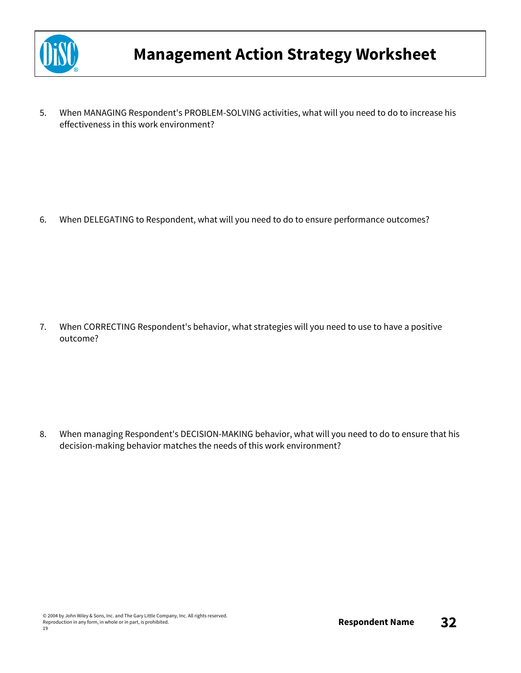

5. When MANAGING Respondent's PROBLEM-SOLVING activities, what will you need to do to increase his effectiveness in this work environment?

6. When DELEGATING to Respondent, what will you need to do to ensure performance outcomes?

7. When CORRECTING Respondent's behavior, what strategies will you need to use to have a positive outcome?

8. When managing Respondent's DECISION-MAKING behavior, what will you need to do to ensure that his decision-making behavior matches the needs of this work environment?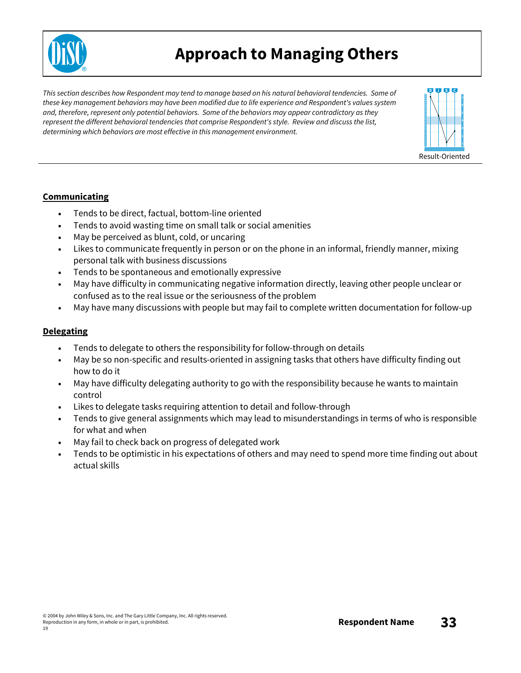

### **Approach to Managing Others**

*This section describes how Respondent may tend to manage based on his natural behavioral tendencies. Some of these key management behaviors may have been modified due to life experience and Respondent's values system and, therefore, represent only potential behaviors. Some of the behaviors may appear contradictory as they represent the different behavioral tendencies that comprise Respondent's style. Review and discuss the list, determining which behaviors are most effective in this management environment.*



#### **Communicating**

- Tends to be direct, factual, bottom-line oriented
- Tends to avoid wasting time on small talk or social amenities
- May be perceived as blunt, cold, or uncaring
- Likes to communicate frequently in person or on the phone in an informal, friendly manner, mixing personal talk with business discussions
- Tends to be spontaneous and emotionally expressive
- May have difficulty in communicating negative information directly, leaving other people unclear or confused as to the real issue or the seriousness of the problem
- May have many discussions with people but may fail to complete written documentation for follow-up

#### **Delegating**

- Tends to delegate to others the responsibility for follow-through on details
- May be so non-specific and results-oriented in assigning tasks that others have difficulty finding out how to do it
- May have difficulty delegating authority to go with the responsibility because he wants to maintain control
- Likes to delegate tasks requiring attention to detail and follow-through
- Tends to give general assignments which may lead to misunderstandings in terms of who is responsible for what and when
- May fail to check back on progress of delegated work
- Tends to be optimistic in his expectations of others and may need to spend more time finding out about actual skills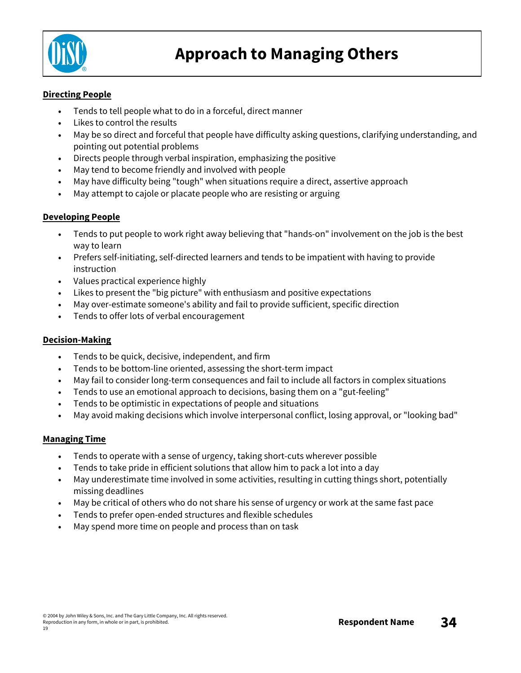

#### **Directing People**

- Tends to tell people what to do in a forceful, direct manner
- Likes to control the results
- May be so direct and forceful that people have difficulty asking questions, clarifying understanding, and pointing out potential problems
- Directs people through verbal inspiration, emphasizing the positive
- May tend to become friendly and involved with people
- May have difficulty being "tough" when situations require a direct, assertive approach
- May attempt to cajole or placate people who are resisting or arguing

#### **Developing People**

- Tends to put people to work right away believing that "hands-on" involvement on the job is the best way to learn
- Prefers self-initiating, self-directed learners and tends to be impatient with having to provide instruction
- Values practical experience highly
- Likes to present the "big picture" with enthusiasm and positive expectations
- May over-estimate someone's ability and fail to provide sufficient, specific direction
- Tends to offer lots of verbal encouragement

#### **Decision-Making**

- Tends to be quick, decisive, independent, and firm
- Tends to be bottom-line oriented, assessing the short-term impact
- May fail to consider long-term consequences and fail to include all factors in complex situations
- Tends to use an emotional approach to decisions, basing them on a "gut-feeling"
- Tends to be optimistic in expectations of people and situations
- May avoid making decisions which involve interpersonal conflict, losing approval, or "looking bad"

#### **Managing Time**

- Tends to operate with a sense of urgency, taking short-cuts wherever possible
- Tends to take pride in efficient solutions that allow him to pack a lot into a day
- May underestimate time involved in some activities, resulting in cutting things short, potentially missing deadlines
- May be critical of others who do not share his sense of urgency or work at the same fast pace
- Tends to prefer open-ended structures and flexible schedules
- May spend more time on people and process than on task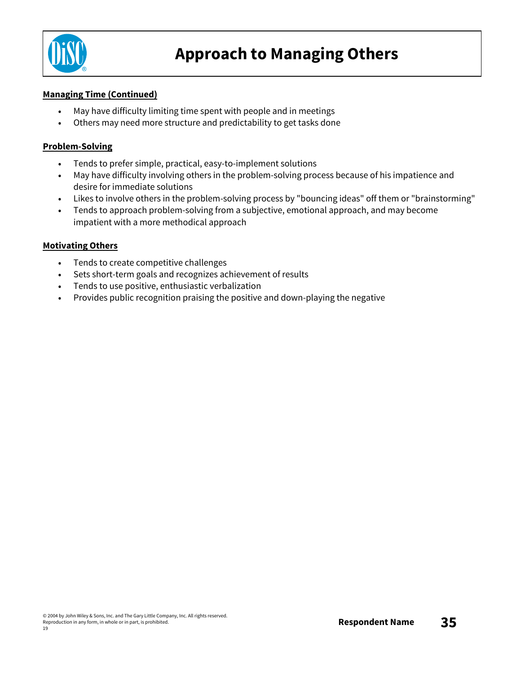

#### **Managing Time (Continued)**

- May have difficulty limiting time spent with people and in meetings
- Others may need more structure and predictability to get tasks done

#### **Problem-Solving**

- Tends to prefer simple, practical, easy-to-implement solutions
- May have difficulty involving others in the problem-solving process because of his impatience and desire for immediate solutions
- Likes to involve others in the problem-solving process by "bouncing ideas" off them or "brainstorming"
- Tends to approach problem-solving from a subjective, emotional approach, and may become impatient with a more methodical approach

#### **Motivating Others**

- Tends to create competitive challenges
- Sets short-term goals and recognizes achievement of results
- Tends to use positive, enthusiastic verbalization
- Provides public recognition praising the positive and down-playing the negative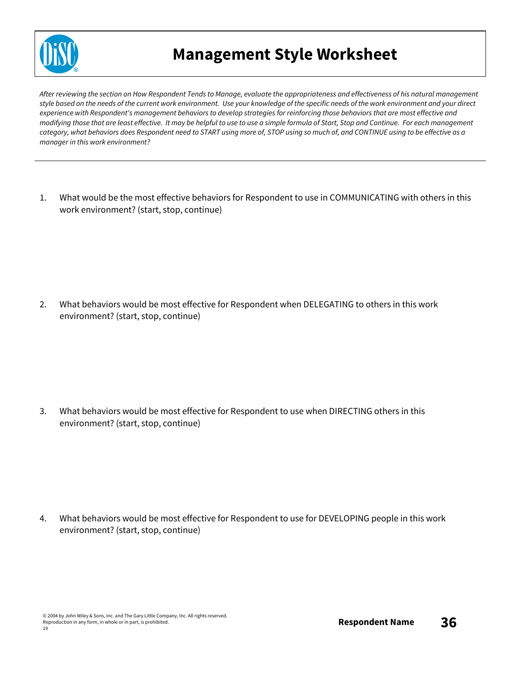

### **Management Style Worksheet**

After reviewing the section on How Respondent Tends to Manage, evaluate the appropriateness and effectiveness of his natural management style based on the needs of the current work environment. Use your knowledge of the specific needs of the work environment and your direct experience with Respondent's management behaviors to develop strategies for reinforcing those behaviors that are most effective and modifying those that are least effective. It may be helpful to use to use a simple formula of Start, Stop and Continue. For each management category, what behaviors does Respondent need to START using more of, STOP using so much of, and CONTINUE using to be effective as a *manager in this work environment?*

1. What would be the most effective behaviors for Respondent to use in COMMUNICATING with others in this work environment? (start, stop, continue)

2. What behaviors would be most effective for Respondent when DELEGATING to others in this work environment? (start, stop, continue)

3. What behaviors would be most effective for Respondent to use when DIRECTING others in this environment? (start, stop, continue)

4. What behaviors would be most effective for Respondent to use for DEVELOPING people in this work environment? (start, stop, continue)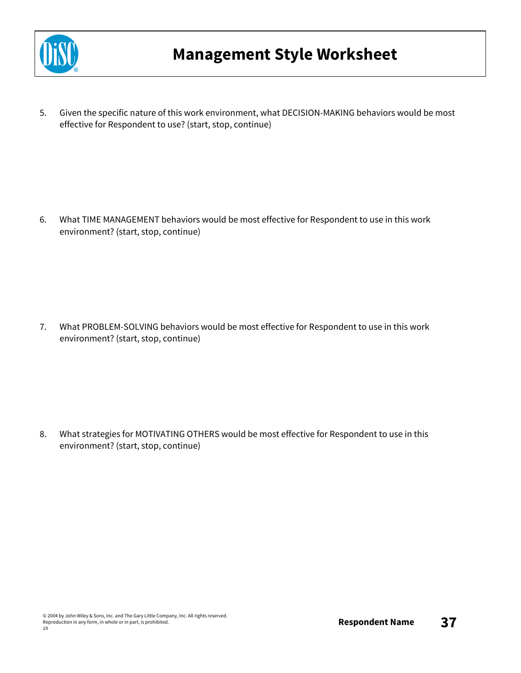

5. Given the specific nature of this work environment, what DECISION-MAKING behaviors would be most effective for Respondent to use? (start, stop, continue)

6. What TIME MANAGEMENT behaviors would be most effective for Respondent to use in this work environment? (start, stop, continue)

7. What PROBLEM-SOLVING behaviors would be most effective for Respondent to use in this work environment? (start, stop, continue)

8. What strategies for MOTIVATING OTHERS would be most effective for Respondent to use in this environment? (start, stop, continue)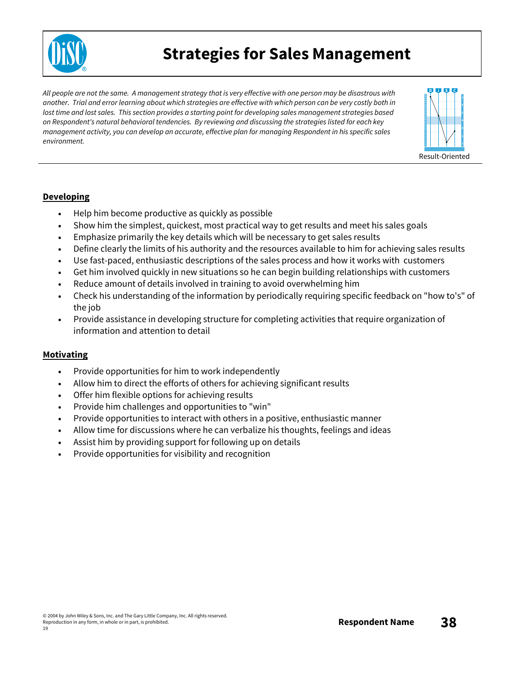

### **Strategies for Sales Management**

All people are not the same. A management strategy that is very effective with one person may be disastrous with another. Trial and error learning about which strategies are effective with which person can be very costly both in lost time and lost sales. This section provides a starting point for developing sales management strategies based *on Respondent's natural behavioral tendencies. By reviewing and discussing the strategies listed for each key management activity, you can develop an accurate, effective plan for managing Respondent in his specific sales environment.*



#### **Developing**

- Help him become productive as quickly as possible
- Show him the simplest, quickest, most practical way to get results and meet his sales goals
- Emphasize primarily the key details which will be necessary to get sales results
- Define clearly the limits of his authority and the resources available to him for achieving sales results
- Use fast-paced, enthusiastic descriptions of the sales process and how it works with customers
- Get him involved quickly in new situations so he can begin building relationships with customers
- Reduce amount of details involved in training to avoid overwhelming him
- Check his understanding of the information by periodically requiring specific feedback on "how to's" of the job
- Provide assistance in developing structure for completing activities that require organization of information and attention to detail

#### **Motivating**

- Provide opportunities for him to work independently
- Allow him to direct the efforts of others for achieving significant results
- Offer him flexible options for achieving results
- Provide him challenges and opportunities to "win"
- Provide opportunities to interact with others in a positive, enthusiastic manner
- Allow time for discussions where he can verbalize his thoughts, feelings and ideas
- Assist him by providing support for following up on details
- Provide opportunities for visibility and recognition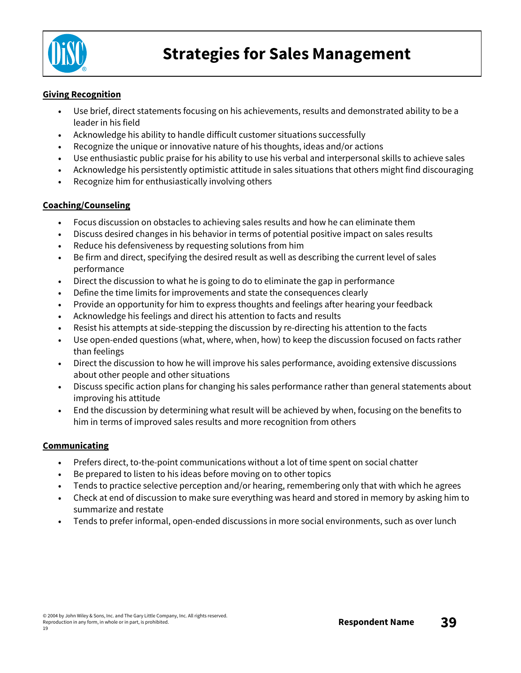

#### **Giving Recognition**

- Use brief, direct statements focusing on his achievements, results and demonstrated ability to be a leader in his field
- Acknowledge his ability to handle difficult customer situations successfully
- Recognize the unique or innovative nature of his thoughts, ideas and/or actions
- Use enthusiastic public praise for his ability to use his verbal and interpersonal skills to achieve sales
- Acknowledge his persistently optimistic attitude in sales situations that others might find discouraging
- Recognize him for enthusiastically involving others

#### **Coaching/Counseling**

- Focus discussion on obstacles to achieving sales results and how he can eliminate them
- Discuss desired changes in his behavior in terms of potential positive impact on sales results
- Reduce his defensiveness by requesting solutions from him
- Be firm and direct, specifying the desired result as well as describing the current level of sales performance
- Direct the discussion to what he is going to do to eliminate the gap in performance
- Define the time limits for improvements and state the consequences clearly
- Provide an opportunity for him to express thoughts and feelings after hearing your feedback
- Acknowledge his feelings and direct his attention to facts and results
- Resist his attempts at side-stepping the discussion by re-directing his attention to the facts
- Use open-ended questions (what, where, when, how) to keep the discussion focused on facts rather than feelings
- Direct the discussion to how he will improve his sales performance, avoiding extensive discussions about other people and other situations
- Discuss specific action plans for changing his sales performance rather than general statements about improving his attitude
- End the discussion by determining what result will be achieved by when, focusing on the benefits to him in terms of improved sales results and more recognition from others

#### **Communicating**

- Prefers direct, to-the-point communications without a lot of time spent on social chatter
- Be prepared to listen to his ideas before moving on to other topics
- Tends to practice selective perception and/or hearing, remembering only that with which he agrees
- Check at end of discussion to make sure everything was heard and stored in memory by asking him to summarize and restate
- Tends to prefer informal, open-ended discussions in more social environments, such as over lunch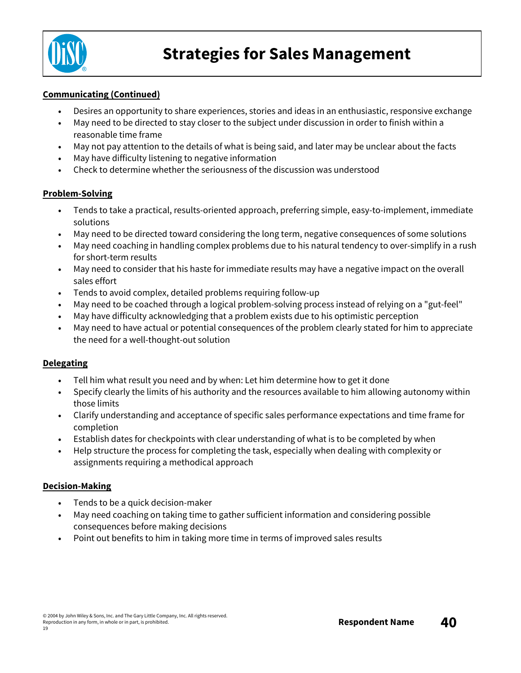

#### **Communicating (Continued)**

- Desires an opportunity to share experiences, stories and ideas in an enthusiastic, responsive exchange
- May need to be directed to stay closer to the subject under discussion in order to finish within a reasonable time frame
- May not pay attention to the details of what is being said, and later may be unclear about the facts
- May have difficulty listening to negative information
- Check to determine whether the seriousness of the discussion was understood

#### **Problem-Solving**

- Tends to take a practical, results-oriented approach, preferring simple, easy-to-implement, immediate solutions
- May need to be directed toward considering the long term, negative consequences of some solutions
- May need coaching in handling complex problems due to his natural tendency to over-simplify in a rush for short-term results
- May need to consider that his haste for immediate results may have a negative impact on the overall sales effort
- Tends to avoid complex, detailed problems requiring follow-up
- May need to be coached through a logical problem-solving process instead of relying on a "gut-feel"
- May have difficulty acknowledging that a problem exists due to his optimistic perception
- May need to have actual or potential consequences of the problem clearly stated for him to appreciate the need for a well-thought-out solution

#### **Delegating**

- Tell him what result you need and by when: Let him determine how to get it done
- Specify clearly the limits of his authority and the resources available to him allowing autonomy within those limits
- Clarify understanding and acceptance of specific sales performance expectations and time frame for completion
- Establish dates for checkpoints with clear understanding of what is to be completed by when
- Help structure the process for completing the task, especially when dealing with complexity or assignments requiring a methodical approach

#### **Decision-Making**

- Tends to be a quick decision-maker
- May need coaching on taking time to gather sufficient information and considering possible consequences before making decisions
- Point out benefits to him in taking more time in terms of improved sales results

19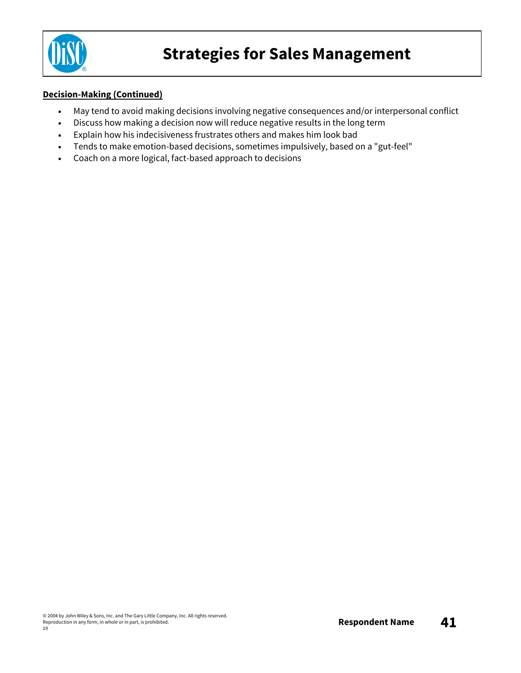

#### **Decision-Making (Continued)**

- May tend to avoid making decisions involving negative consequences and/or interpersonal conflict
- Discuss how making a decision now will reduce negative results in the long term
- Explain how his indecisiveness frustrates others and makes him look bad
- Tends to make emotion-based decisions, sometimes impulsively, based on a "gut-feel"
- Coach on a more logical, fact-based approach to decisions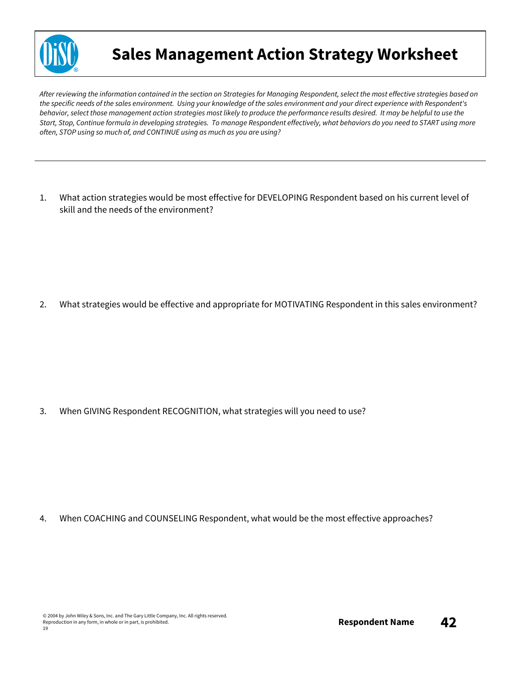

### **Sales Management Action Strategy Worksheet**

After reviewing the information contained in the section on Strategies for Managing Respondent, select the most effective strategies based on the specific needs of the sales environment. Using your knowledge of the sales environment and your direct experience with Respondent's behavior, select those management action strategies most likely to produce the performance results desired. It may be helpful to use the Start, Stop, Continue formula in developing strategies. To manage Respondent effectively, what behaviors do you need to START using more *often, STOP using so much of, and CONTINUE using as much as you are using?*

1. What action strategies would be most effective for DEVELOPING Respondent based on his current level of skill and the needs of the environment?

2. What strategies would be effective and appropriate for MOTIVATING Respondent in this sales environment?

3. When GIVING Respondent RECOGNITION, what strategies will you need to use?

4. When COACHING and COUNSELING Respondent, what would be the most effective approaches?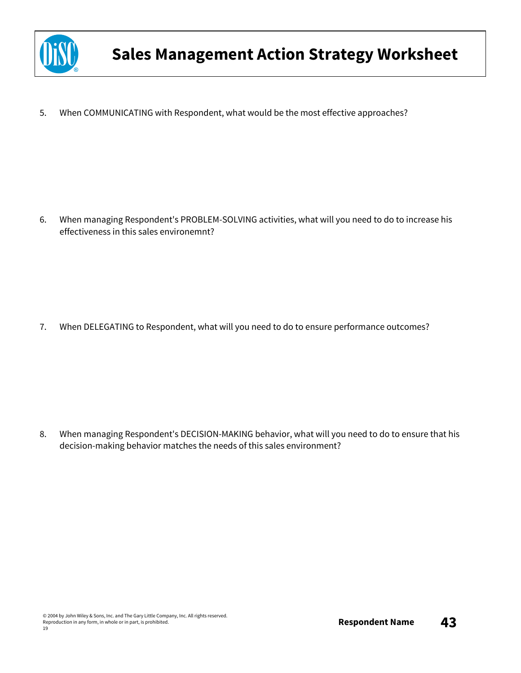

5. When COMMUNICATING with Respondent, what would be the most effective approaches?

6. When managing Respondent's PROBLEM-SOLVING activities, what will you need to do to increase his effectiveness in this sales environemnt?

7. When DELEGATING to Respondent, what will you need to do to ensure performance outcomes?

8. When managing Respondent's DECISION-MAKING behavior, what will you need to do to ensure that his decision-making behavior matches the needs of this sales environment?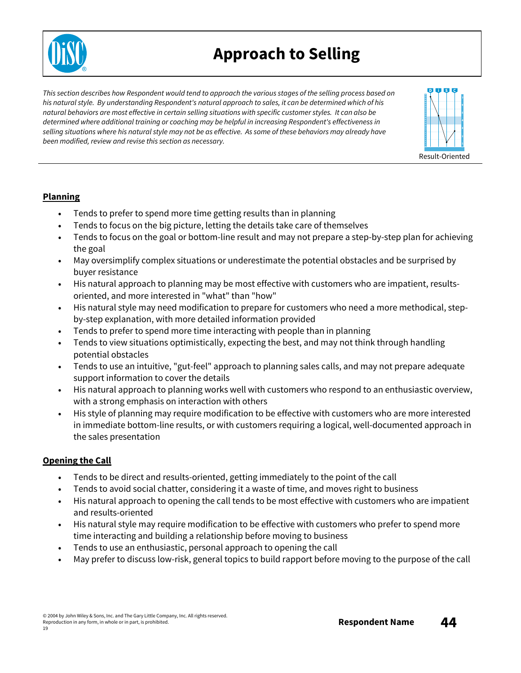### **Approach to Selling**

This section describes how Respondent would tend to approach the various stages of the selling process based on *his natural style. By understanding Respondent's natural approach to sales, it can be determined which of his natural behaviors are most effective in certain selling situations with specific customer styles. It can also be determined where additional training or coaching may be helpful in increasing Respondent's effectiveness in* selling situations where his natural style may not be as effective. As some of these behaviors may already have *been modified, review and revise this section as necessary.*



#### **Planning**

- Tends to prefer to spend more time getting results than in planning
- Tends to focus on the big picture, letting the details take care of themselves
- Tends to focus on the goal or bottom-line result and may not prepare a step-by-step plan for achieving the goal
- May oversimplify complex situations or underestimate the potential obstacles and be surprised by buyer resistance
- His natural approach to planning may be most effective with customers who are impatient, resultsoriented, and more interested in "what" than "how"
- His natural style may need modification to prepare for customers who need a more methodical, stepby-step explanation, with more detailed information provided
- Tends to prefer to spend more time interacting with people than in planning
- Tends to view situations optimistically, expecting the best, and may not think through handling potential obstacles
- Tends to use an intuitive, "gut-feel" approach to planning sales calls, and may not prepare adequate support information to cover the details
- His natural approach to planning works well with customers who respond to an enthusiastic overview, with a strong emphasis on interaction with others
- His style of planning may require modification to be effective with customers who are more interested in immediate bottom-line results, or with customers requiring a logical, well-documented approach in the sales presentation

### **Opening the Call**

- Tends to be direct and results-oriented, getting immediately to the point of the call
- Tends to avoid social chatter, considering it a waste of time, and moves right to business
- His natural approach to opening the call tends to be most effective with customers who are impatient and results-oriented
- His natural style may require modification to be effective with customers who prefer to spend more time interacting and building a relationship before moving to business
- Tends to use an enthusiastic, personal approach to opening the call
- May prefer to discuss low-risk, general topics to build rapport before moving to the purpose of the call

19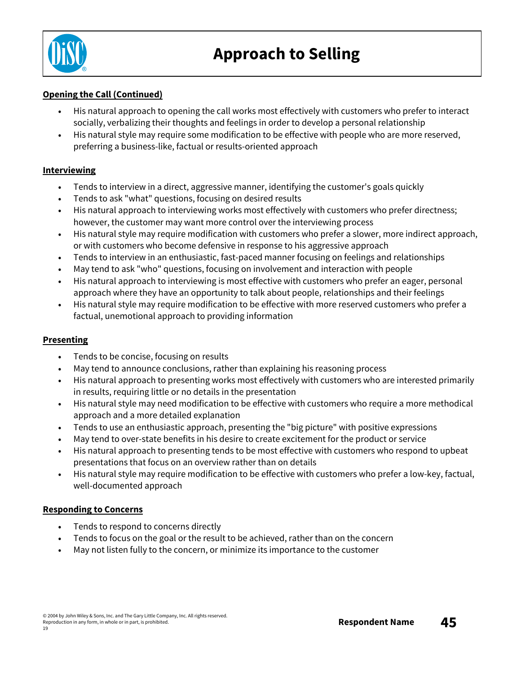

#### **Opening the Call (Continued)**

- His natural approach to opening the call works most effectively with customers who prefer to interact socially, verbalizing their thoughts and feelings in order to develop a personal relationship
- His natural style may require some modification to be effective with people who are more reserved, preferring a business-like, factual or results-oriented approach

#### **Interviewing**

- Tends to interview in a direct, aggressive manner, identifying the customer's goals quickly
- Tends to ask "what" questions, focusing on desired results
- His natural approach to interviewing works most effectively with customers who prefer directness; however, the customer may want more control over the interviewing process
- His natural style may require modification with customers who prefer a slower, more indirect approach, or with customers who become defensive in response to his aggressive approach
- Tends to interview in an enthusiastic, fast-paced manner focusing on feelings and relationships
- May tend to ask "who" questions, focusing on involvement and interaction with people
- His natural approach to interviewing is most effective with customers who prefer an eager, personal approach where they have an opportunity to talk about people, relationships and their feelings
- His natural style may require modification to be effective with more reserved customers who prefer a factual, unemotional approach to providing information

#### **Presenting**

- Tends to be concise, focusing on results
- May tend to announce conclusions, rather than explaining his reasoning process
- His natural approach to presenting works most effectively with customers who are interested primarily in results, requiring little or no details in the presentation
- His natural style may need modification to be effective with customers who require a more methodical approach and a more detailed explanation
- Tends to use an enthusiastic approach, presenting the "big picture" with positive expressions
- May tend to over-state benefits in his desire to create excitement for the product or service
- His natural approach to presenting tends to be most effective with customers who respond to upbeat presentations that focus on an overview rather than on details
- His natural style may require modification to be effective with customers who prefer a low-key, factual, well-documented approach

#### **Responding to Concerns**

- Tends to respond to concerns directly
- Tends to focus on the goal or the result to be achieved, rather than on the concern
- May not listen fully to the concern, or minimize its importance to the customer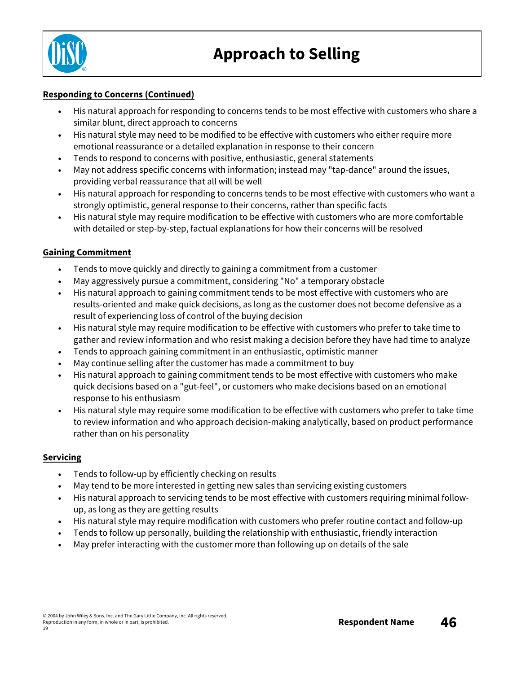

#### **Responding to Concerns (Continued)**

- His natural approach for responding to concerns tends to be most effective with customers who share a similar blunt, direct approach to concerns
- His natural style may need to be modified to be effective with customers who either require more emotional reassurance or a detailed explanation in response to their concern
- Tends to respond to concerns with positive, enthusiastic, general statements
- May not address specific concerns with information; instead may "tap-dance" around the issues, providing verbal reassurance that all will be well
- His natural approach for responding to concerns tends to be most effective with customers who want a strongly optimistic, general response to their concerns, rather than specific facts
- His natural style may require modification to be effective with customers who are more comfortable with detailed or step-by-step, factual explanations for how their concerns will be resolved

#### **Gaining Commitment**

- Tends to move quickly and directly to gaining a commitment from a customer
- May aggressively pursue a commitment, considering "No" a temporary obstacle
- His natural approach to gaining commitment tends to be most effective with customers who are results-oriented and make quick decisions, as long as the customer does not become defensive as a result of experiencing loss of control of the buying decision
- His natural style may require modification to be effective with customers who prefer to take time to gather and review information and who resist making a decision before they have had time to analyze
- Tends to approach gaining commitment in an enthusiastic, optimistic manner
- May continue selling after the customer has made a commitment to buy
- His natural approach to gaining commitment tends to be most effective with customers who make quick decisions based on a "gut-feel", or customers who make decisions based on an emotional response to his enthusiasm
- His natural style may require some modification to be effective with customers who prefer to take time to review information and who approach decision-making analytically, based on product performance rather than on his personality

#### **Servicing**

- Tends to follow-up by efficiently checking on results
- May tend to be more interested in getting new sales than servicing existing customers
- His natural approach to servicing tends to be most effective with customers requiring minimal followup, as long as they are getting results
- His natural style may require modification with customers who prefer routine contact and follow-up
- Tends to follow up personally, building the relationship with enthusiastic, friendly interaction
- May prefer interacting with the customer more than following up on details of the sale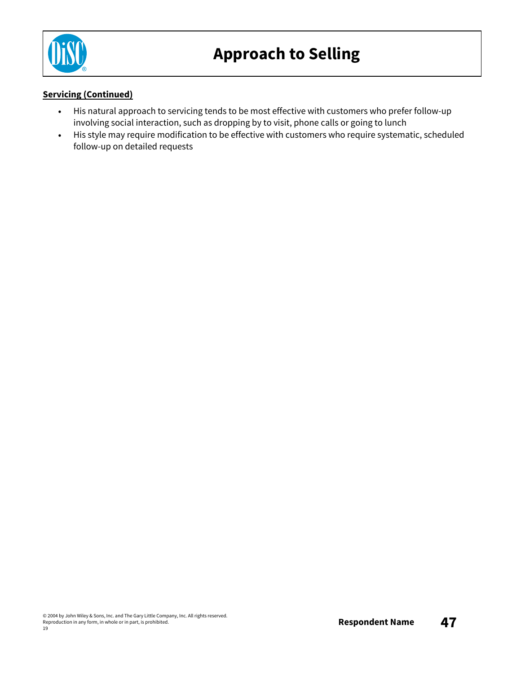

#### **Servicing (Continued)**

- His natural approach to servicing tends to be most effective with customers who prefer follow-up involving social interaction, such as dropping by to visit, phone calls or going to lunch
- His style may require modification to be effective with customers who require systematic, scheduled follow-up on detailed requests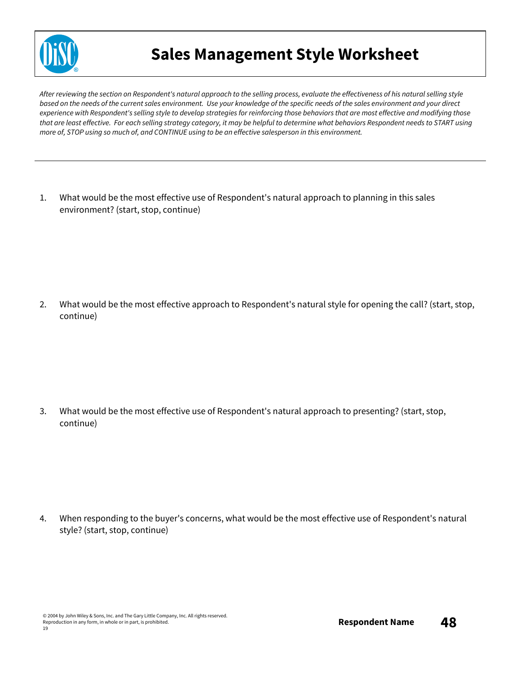

### **Sales Management Style Worksheet**

After reviewing the section on Respondent's natural approach to the selling process, evaluate the effectiveness of his natural selling style based on the needs of the current sales environment. Use your knowledge of the specific needs of the sales environment and your direct experience with Respondent's selling style to develop strategies for reinforcing those behaviors that are most effective and modifying those that are least effective. For each selling strategy category, it may be helpful to determine what behaviors Respondent needs to START using more of, STOP using so much of, and CONTINUE using to be an effective salesperson in this environment.

1. What would be the most effective use of Respondent's natural approach to planning in this sales environment? (start, stop, continue)

2. What would be the most effective approach to Respondent's natural style for opening the call? (start, stop, continue)

3. What would be the most effective use of Respondent's natural approach to presenting? (start, stop, continue)

4. When responding to the buyer's concerns, what would be the most effective use of Respondent's natural style? (start, stop, continue)